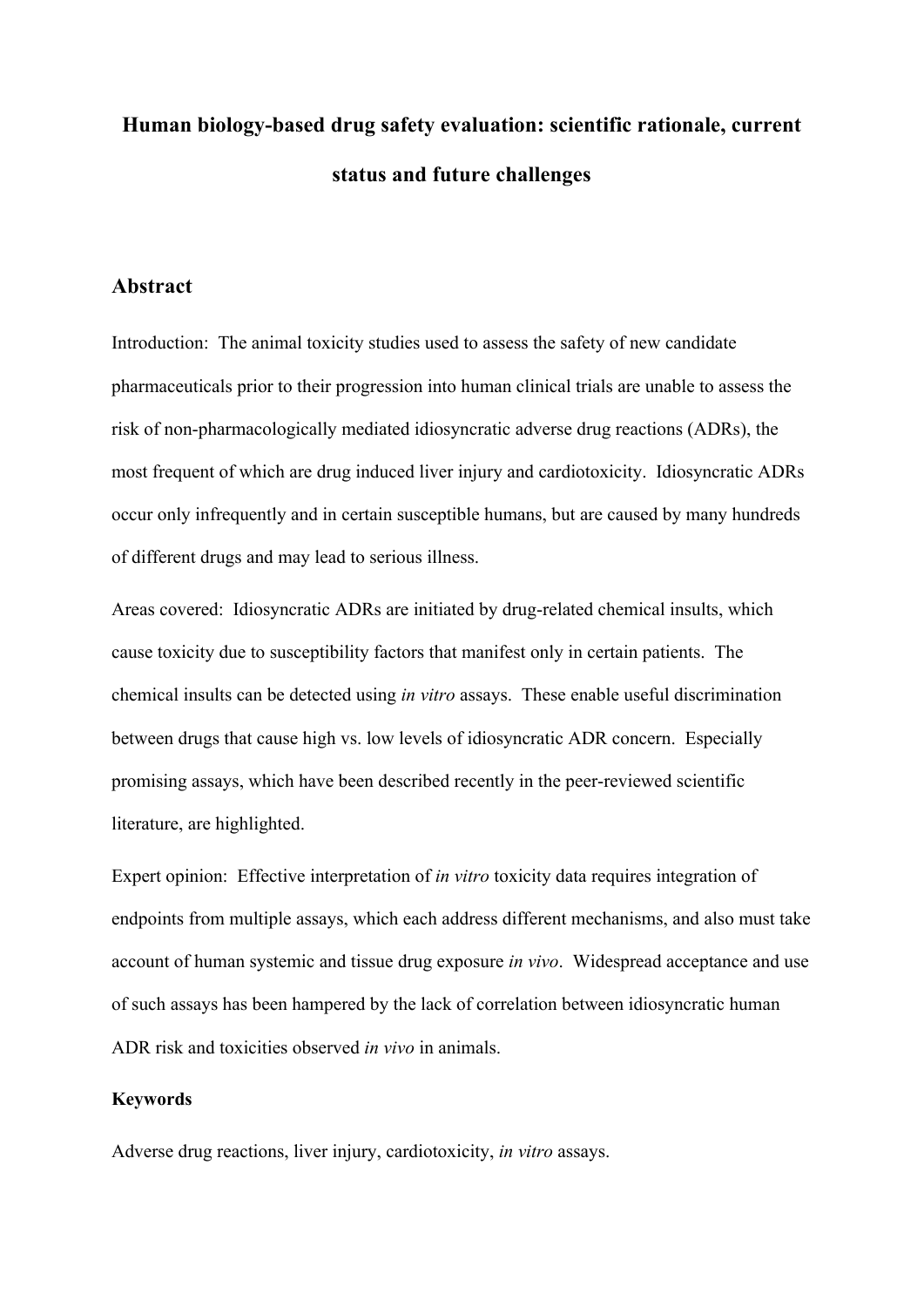# **Human biology-based drug safety evaluation: scientific rationale, current status and future challenges**

#### **Abstract**

Introduction: The animal toxicity studies used to assess the safety of new candidate pharmaceuticals prior to their progression into human clinical trials are unable to assess the risk of non-pharmacologically mediated idiosyncratic adverse drug reactions (ADRs), the most frequent of which are drug induced liver injury and cardiotoxicity. Idiosyncratic ADRs occur only infrequently and in certain susceptible humans, but are caused by many hundreds of different drugs and may lead to serious illness.

Areas covered: Idiosyncratic ADRs are initiated by drug-related chemical insults, which cause toxicity due to susceptibility factors that manifest only in certain patients. The chemical insults can be detected using *in vitro* assays. These enable useful discrimination between drugs that cause high vs. low levels of idiosyncratic ADR concern. Especially promising assays, which have been described recently in the peer-reviewed scientific literature, are highlighted.

Expert opinion: Effective interpretation of *in vitro* toxicity data requires integration of endpoints from multiple assays, which each address different mechanisms, and also must take account of human systemic and tissue drug exposure *in vivo*. Widespread acceptance and use of such assays has been hampered by the lack of correlation between idiosyncratic human ADR risk and toxicities observed *in vivo* in animals.

#### **Keywords**

Adverse drug reactions, liver injury, cardiotoxicity, *in vitro* assays.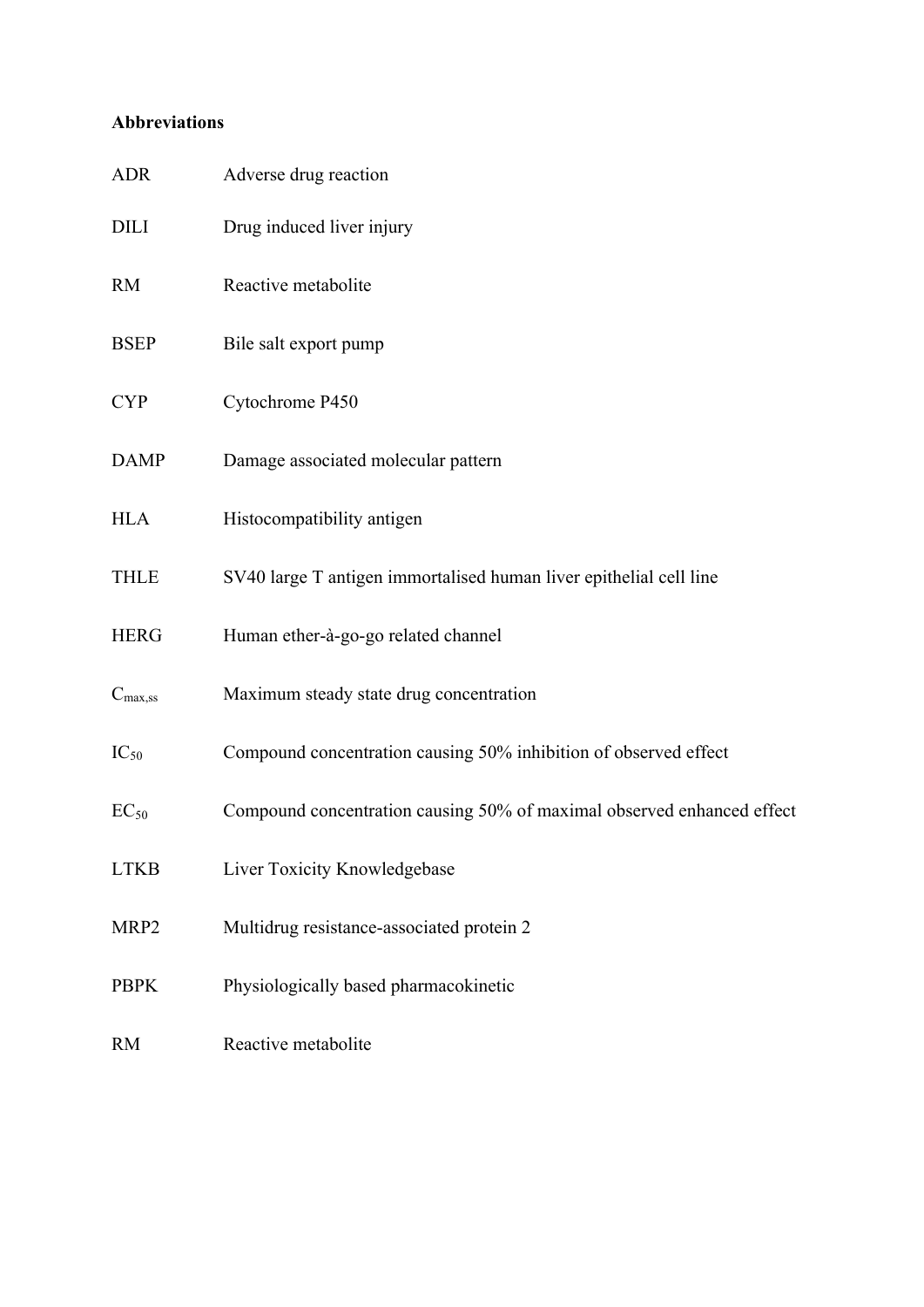## **Abbreviations**

| <b>ADR</b>          | Adverse drug reaction                                                  |
|---------------------|------------------------------------------------------------------------|
| <b>DILI</b>         | Drug induced liver injury                                              |
| <b>RM</b>           | Reactive metabolite                                                    |
| <b>BSEP</b>         | Bile salt export pump                                                  |
| <b>CYP</b>          | Cytochrome P450                                                        |
| <b>DAMP</b>         | Damage associated molecular pattern                                    |
| <b>HLA</b>          | Histocompatibility antigen                                             |
| <b>THLE</b>         | SV40 large T antigen immortalised human liver epithelial cell line     |
| <b>HERG</b>         | Human ether-à-go-go related channel                                    |
| $C_{\text{max,SS}}$ | Maximum steady state drug concentration                                |
| $IC_{50}$           | Compound concentration causing 50% inhibition of observed effect       |
| $EC_{50}$           | Compound concentration causing 50% of maximal observed enhanced effect |
| <b>LTKB</b>         | Liver Toxicity Knowledgebase                                           |
| MRP <sub>2</sub>    | Multidrug resistance-associated protein 2                              |
| <b>PBPK</b>         | Physiologically based pharmacokinetic                                  |
| <b>RM</b>           | Reactive metabolite                                                    |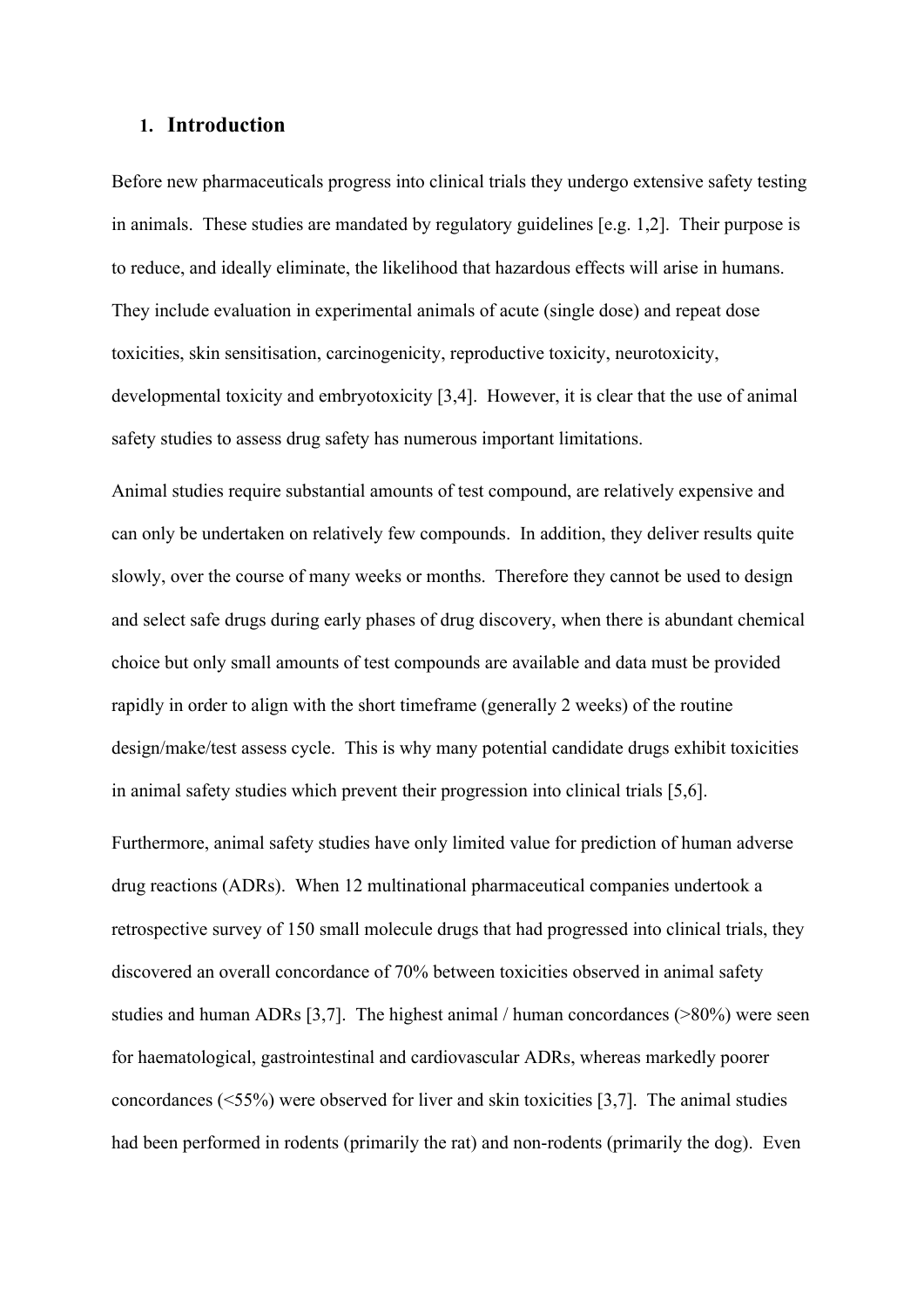#### **1. Introduction**

Before new pharmaceuticals progress into clinical trials they undergo extensive safety testing in animals. These studies are mandated by regulatory guidelines [e.g. 1,2]. Their purpose is to reduce, and ideally eliminate, the likelihood that hazardous effects will arise in humans. They include evaluation in experimental animals of acute (single dose) and repeat dose toxicities, skin sensitisation, carcinogenicity, reproductive toxicity, neurotoxicity, developmental toxicity and embryotoxicity [3,4]. However, it is clear that the use of animal safety studies to assess drug safety has numerous important limitations.

Animal studies require substantial amounts of test compound, are relatively expensive and can only be undertaken on relatively few compounds. In addition, they deliver results quite slowly, over the course of many weeks or months. Therefore they cannot be used to design and select safe drugs during early phases of drug discovery, when there is abundant chemical choice but only small amounts of test compounds are available and data must be provided rapidly in order to align with the short timeframe (generally 2 weeks) of the routine design/make/test assess cycle. This is why many potential candidate drugs exhibit toxicities in animal safety studies which prevent their progression into clinical trials [5,6].

Furthermore, animal safety studies have only limited value for prediction of human adverse drug reactions (ADRs). When 12 multinational pharmaceutical companies undertook a retrospective survey of 150 small molecule drugs that had progressed into clinical trials, they discovered an overall concordance of 70% between toxicities observed in animal safety studies and human ADRs [3,7]. The highest animal / human concordances (>80%) were seen for haematological, gastrointestinal and cardiovascular ADRs, whereas markedly poorer concordances (<55%) were observed for liver and skin toxicities [3,7]. The animal studies had been performed in rodents (primarily the rat) and non-rodents (primarily the dog). Even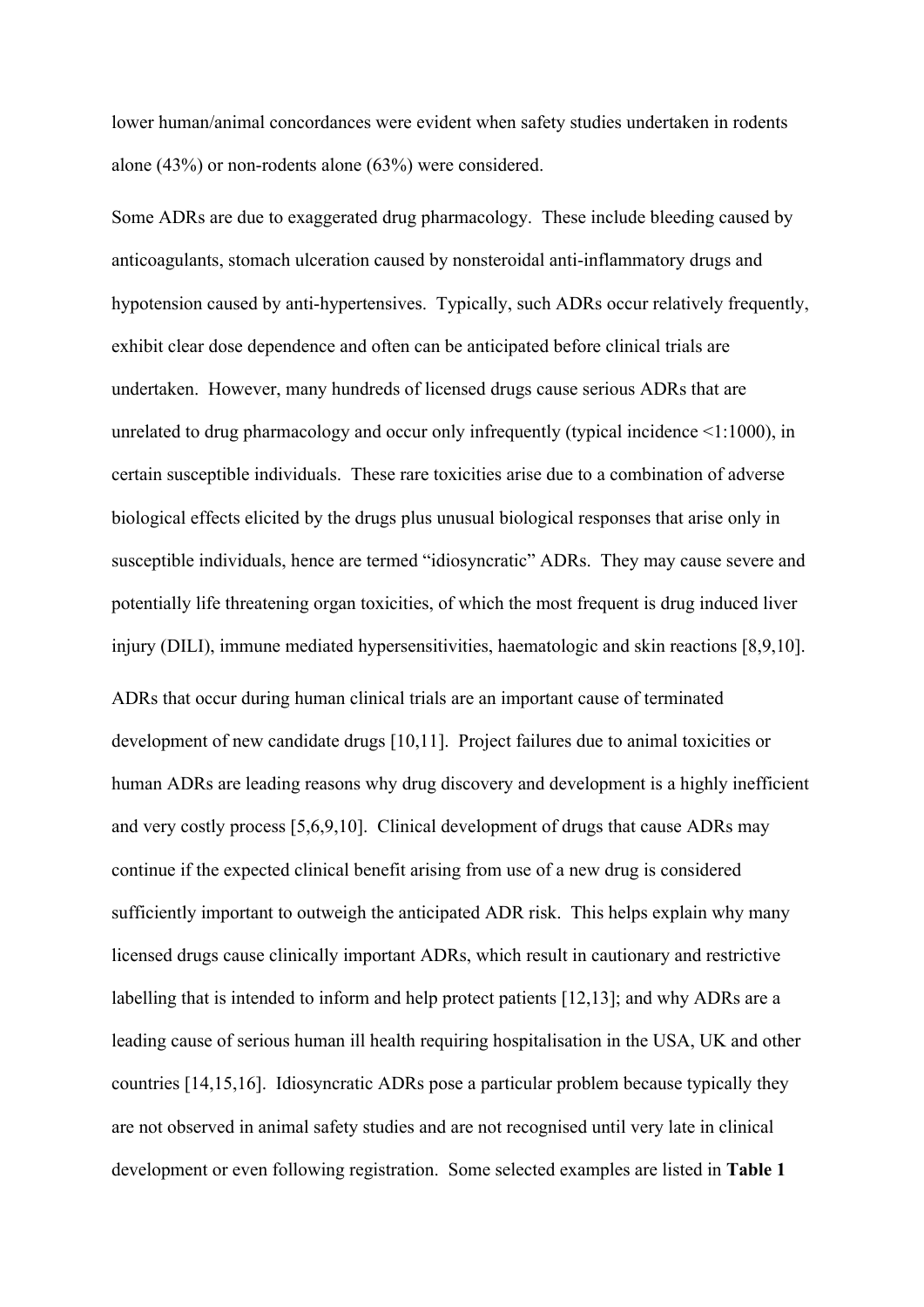lower human/animal concordances were evident when safety studies undertaken in rodents alone (43%) or non-rodents alone (63%) were considered.

Some ADRs are due to exaggerated drug pharmacology. These include bleeding caused by anticoagulants, stomach ulceration caused by nonsteroidal anti-inflammatory drugs and hypotension caused by anti-hypertensives. Typically, such ADRs occur relatively frequently, exhibit clear dose dependence and often can be anticipated before clinical trials are undertaken. However, many hundreds of licensed drugs cause serious ADRs that are unrelated to drug pharmacology and occur only infrequently (typical incidence <1:1000), in certain susceptible individuals. These rare toxicities arise due to a combination of adverse biological effects elicited by the drugs plus unusual biological responses that arise only in susceptible individuals, hence are termed "idiosyncratic" ADRs. They may cause severe and potentially life threatening organ toxicities, of which the most frequent is drug induced liver injury (DILI), immune mediated hypersensitivities, haematologic and skin reactions [8,9,10]. ADRs that occur during human clinical trials are an important cause of terminated development of new candidate drugs [10,11]. Project failures due to animal toxicities or human ADRs are leading reasons why drug discovery and development is a highly inefficient and very costly process [5,6,9,10]. Clinical development of drugs that cause ADRs may continue if the expected clinical benefit arising from use of a new drug is considered sufficiently important to outweigh the anticipated ADR risk. This helps explain why many licensed drugs cause clinically important ADRs, which result in cautionary and restrictive labelling that is intended to inform and help protect patients [12,13]; and why ADRs are a leading cause of serious human ill health requiring hospitalisation in the USA, UK and other countries [14,15,16]. Idiosyncratic ADRs pose a particular problem because typically they are not observed in animal safety studies and are not recognised until very late in clinical development or even following registration. Some selected examples are listed in **Table 1**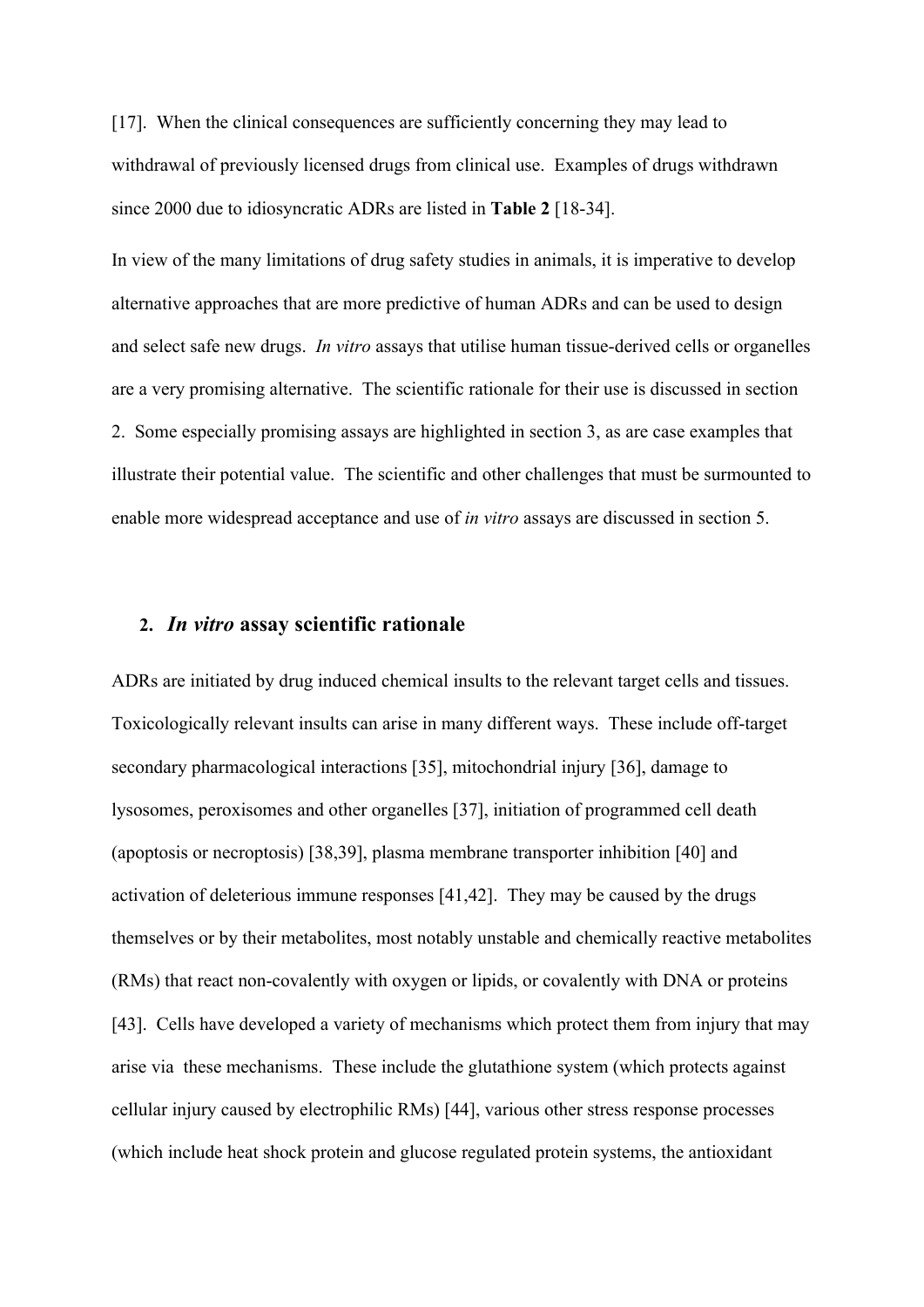[17]. When the clinical consequences are sufficiently concerning they may lead to withdrawal of previously licensed drugs from clinical use. Examples of drugs withdrawn since 2000 due to idiosyncratic ADRs are listed in **Table 2** [18-34].

In view of the many limitations of drug safety studies in animals, it is imperative to develop alternative approaches that are more predictive of human ADRs and can be used to design and select safe new drugs. *In vitro* assays that utilise human tissue-derived cells or organelles are a very promising alternative. The scientific rationale for their use is discussed in section 2. Some especially promising assays are highlighted in section 3, as are case examples that illustrate their potential value. The scientific and other challenges that must be surmounted to enable more widespread acceptance and use of *in vitro* assays are discussed in section 5.

#### **2.** *In vitro* **assay scientific rationale**

ADRs are initiated by drug induced chemical insults to the relevant target cells and tissues. Toxicologically relevant insults can arise in many different ways. These include off-target secondary pharmacological interactions [35], mitochondrial injury [36], damage to lysosomes, peroxisomes and other organelles [37], initiation of programmed cell death (apoptosis or necroptosis) [38,39], plasma membrane transporter inhibition [40] and activation of deleterious immune responses [41,42]. They may be caused by the drugs themselves or by their metabolites, most notably unstable and chemically reactive metabolites (RMs) that react non-covalently with oxygen or lipids, or covalently with DNA or proteins [43]. Cells have developed a variety of mechanisms which protect them from injury that may arise via these mechanisms. These include the glutathione system (which protects against cellular injury caused by electrophilic RMs) [44], various other stress response processes (which include heat shock protein and glucose regulated protein systems, the antioxidant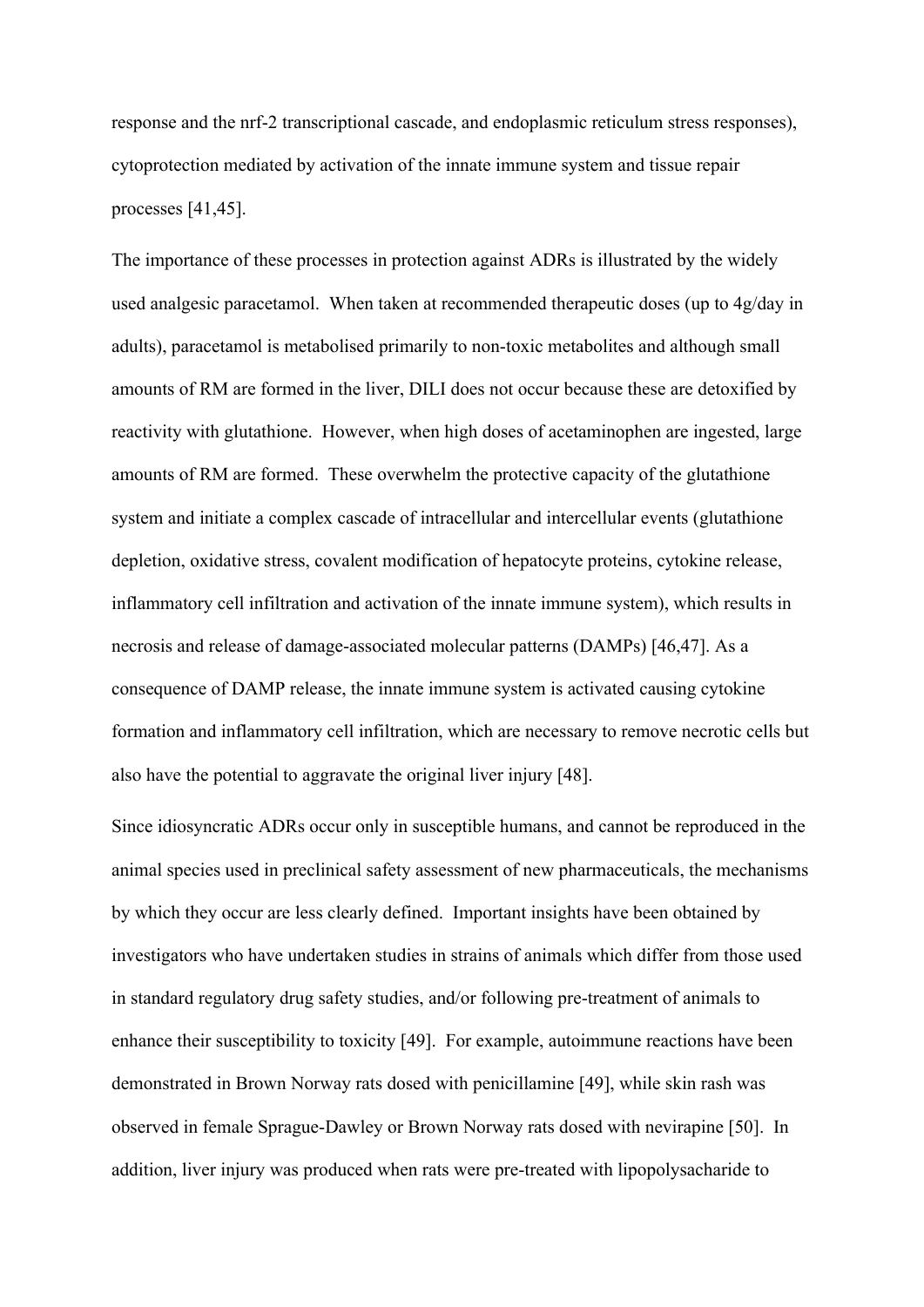response and the nrf-2 transcriptional cascade, and endoplasmic reticulum stress responses), cytoprotection mediated by activation of the innate immune system and tissue repair processes [41,45].

The importance of these processes in protection against ADRs is illustrated by the widely used analgesic paracetamol. When taken at recommended therapeutic doses (up to 4g/day in adults), paracetamol is metabolised primarily to non-toxic metabolites and although small amounts of RM are formed in the liver, DILI does not occur because these are detoxified by reactivity with glutathione. However, when high doses of acetaminophen are ingested, large amounts of RM are formed. These overwhelm the protective capacity of the glutathione system and initiate a complex cascade of intracellular and intercellular events (glutathione depletion, oxidative stress, covalent modification of hepatocyte proteins, cytokine release, inflammatory cell infiltration and activation of the innate immune system), which results in necrosis and release of damage-associated molecular patterns (DAMPs) [46,47]. As a consequence of DAMP release, the innate immune system is activated causing cytokine formation and inflammatory cell infiltration, which are necessary to remove necrotic cells but also have the potential to aggravate the original liver injury [48].

Since idiosyncratic ADRs occur only in susceptible humans, and cannot be reproduced in the animal species used in preclinical safety assessment of new pharmaceuticals, the mechanisms by which they occur are less clearly defined. Important insights have been obtained by investigators who have undertaken studies in strains of animals which differ from those used in standard regulatory drug safety studies, and/or following pre-treatment of animals to enhance their susceptibility to toxicity [49]. For example, autoimmune reactions have been demonstrated in Brown Norway rats dosed with penicillamine [49], while skin rash was observed in female Sprague-Dawley or Brown Norway rats dosed with nevirapine [50]. In addition, liver injury was produced when rats were pre-treated with lipopolysacharide to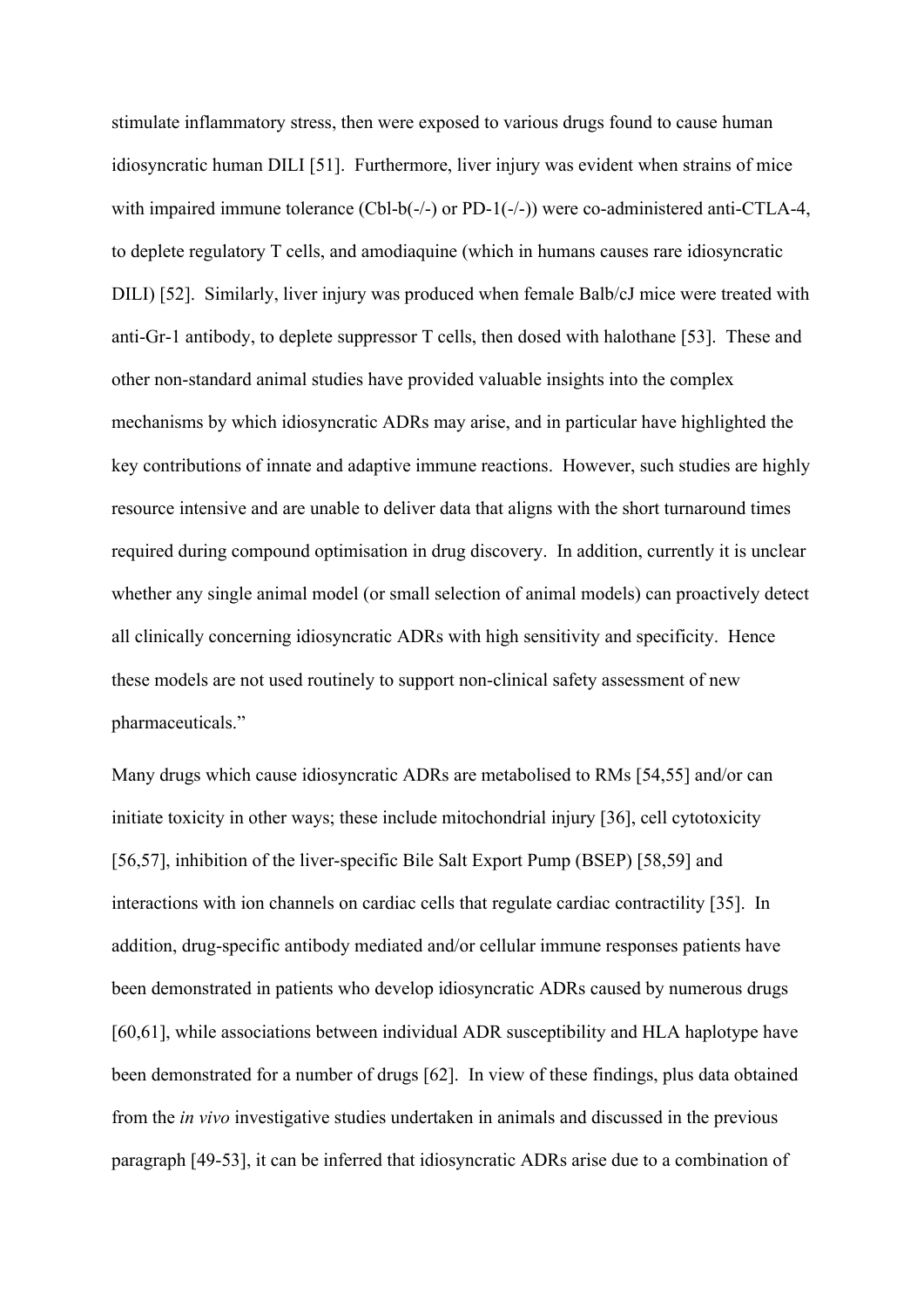stimulate inflammatory stress, then were exposed to various drugs found to cause human idiosyncratic human DILI [51]. Furthermore, liver injury was evident when strains of mice with impaired immune tolerance (Cbl-b(-/-) or PD-1(-/-)) were co-administered anti-CTLA-4, to deplete regulatory T cells, and amodiaquine (which in humans causes rare idiosyncratic DILI) [52]. Similarly, liver injury was produced when female Balb/cJ mice were treated with anti-Gr-1 antibody, to deplete suppressor T cells, then dosed with halothane [53]. These and other non-standard animal studies have provided valuable insights into the complex mechanisms by which idiosyncratic ADRs may arise, and in particular have highlighted the key contributions of innate and adaptive immune reactions. However, such studies are highly resource intensive and are unable to deliver data that aligns with the short turnaround times required during compound optimisation in drug discovery. In addition, currently it is unclear whether any single animal model (or small selection of animal models) can proactively detect all clinically concerning idiosyncratic ADRs with high sensitivity and specificity. Hence these models are not used routinely to support non-clinical safety assessment of new pharmaceuticals."

Many drugs which cause idiosyncratic ADRs are metabolised to RMs [54,55] and/or can initiate toxicity in other ways; these include mitochondrial injury [36], cell cytotoxicity [56,57], inhibition of the liver-specific Bile Salt Export Pump (BSEP) [58,59] and interactions with ion channels on cardiac cells that regulate cardiac contractility [35]. In addition, drug-specific antibody mediated and/or cellular immune responses patients have been demonstrated in patients who develop idiosyncratic ADRs caused by numerous drugs [60,61], while associations between individual ADR susceptibility and HLA haplotype have been demonstrated for a number of drugs [62]. In view of these findings, plus data obtained from the *in vivo* investigative studies undertaken in animals and discussed in the previous paragraph [49-53], it can be inferred that idiosyncratic ADRs arise due to a combination of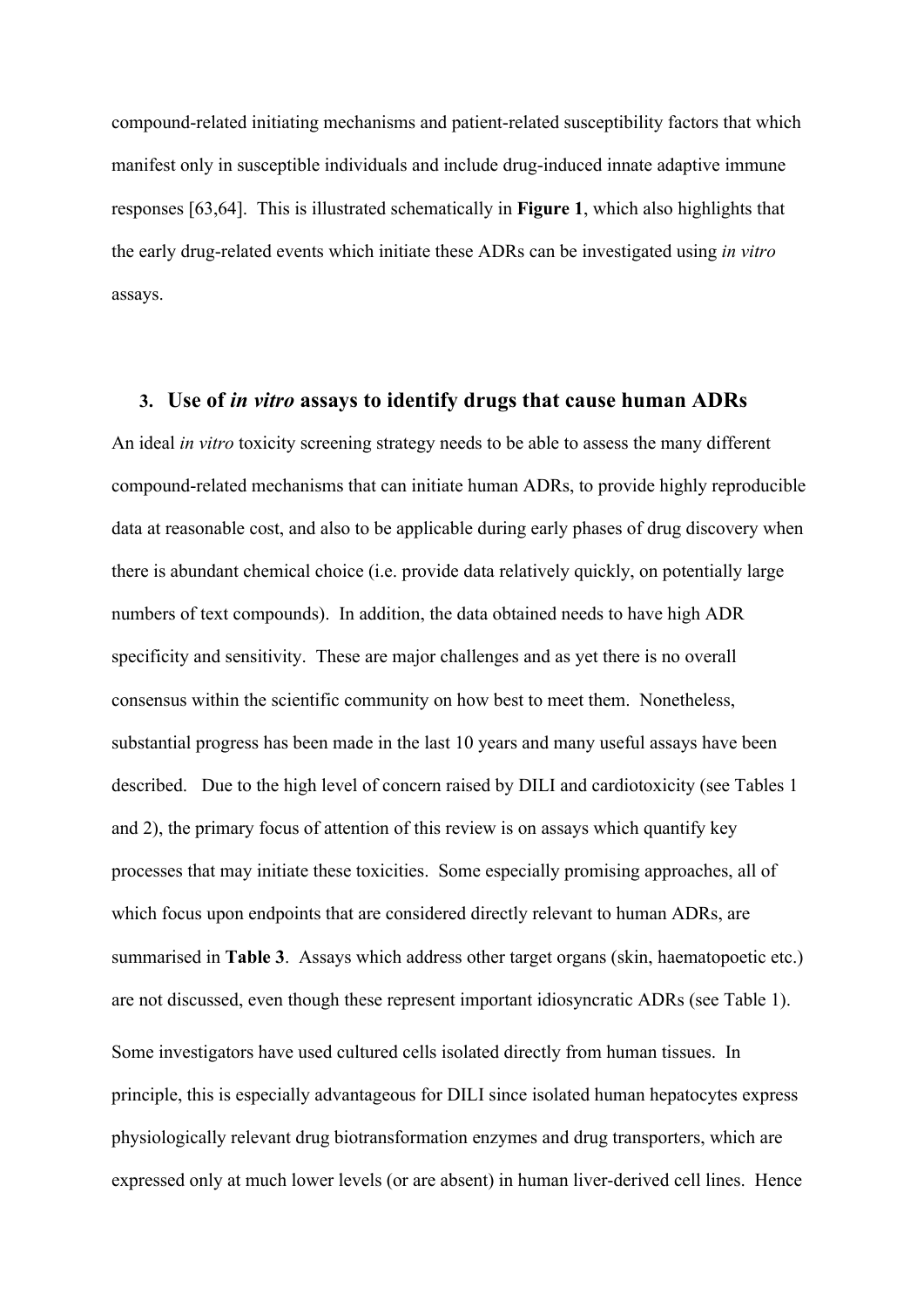compound-related initiating mechanisms and patient-related susceptibility factors that which manifest only in susceptible individuals and include drug-induced innate adaptive immune responses [63,64]. This is illustrated schematically in **Figure 1**, which also highlights that the early drug-related events which initiate these ADRs can be investigated using *in vitro* assays.

#### **3. Use of** *in vitro* **assays to identify drugs that cause human ADRs**

An ideal *in vitro* toxicity screening strategy needs to be able to assess the many different compound-related mechanisms that can initiate human ADRs, to provide highly reproducible data at reasonable cost, and also to be applicable during early phases of drug discovery when there is abundant chemical choice (i.e. provide data relatively quickly, on potentially large numbers of text compounds). In addition, the data obtained needs to have high ADR specificity and sensitivity. These are major challenges and as yet there is no overall consensus within the scientific community on how best to meet them. Nonetheless, substantial progress has been made in the last 10 years and many useful assays have been described. Due to the high level of concern raised by DILI and cardiotoxicity (see Tables 1 and 2), the primary focus of attention of this review is on assays which quantify key processes that may initiate these toxicities. Some especially promising approaches, all of which focus upon endpoints that are considered directly relevant to human ADRs, are summarised in **Table 3**. Assays which address other target organs (skin, haematopoetic etc.) are not discussed, even though these represent important idiosyncratic ADRs (see Table 1). Some investigators have used cultured cells isolated directly from human tissues. In principle, this is especially advantageous for DILI since isolated human hepatocytes express physiologically relevant drug biotransformation enzymes and drug transporters, which are expressed only at much lower levels (or are absent) in human liver-derived cell lines. Hence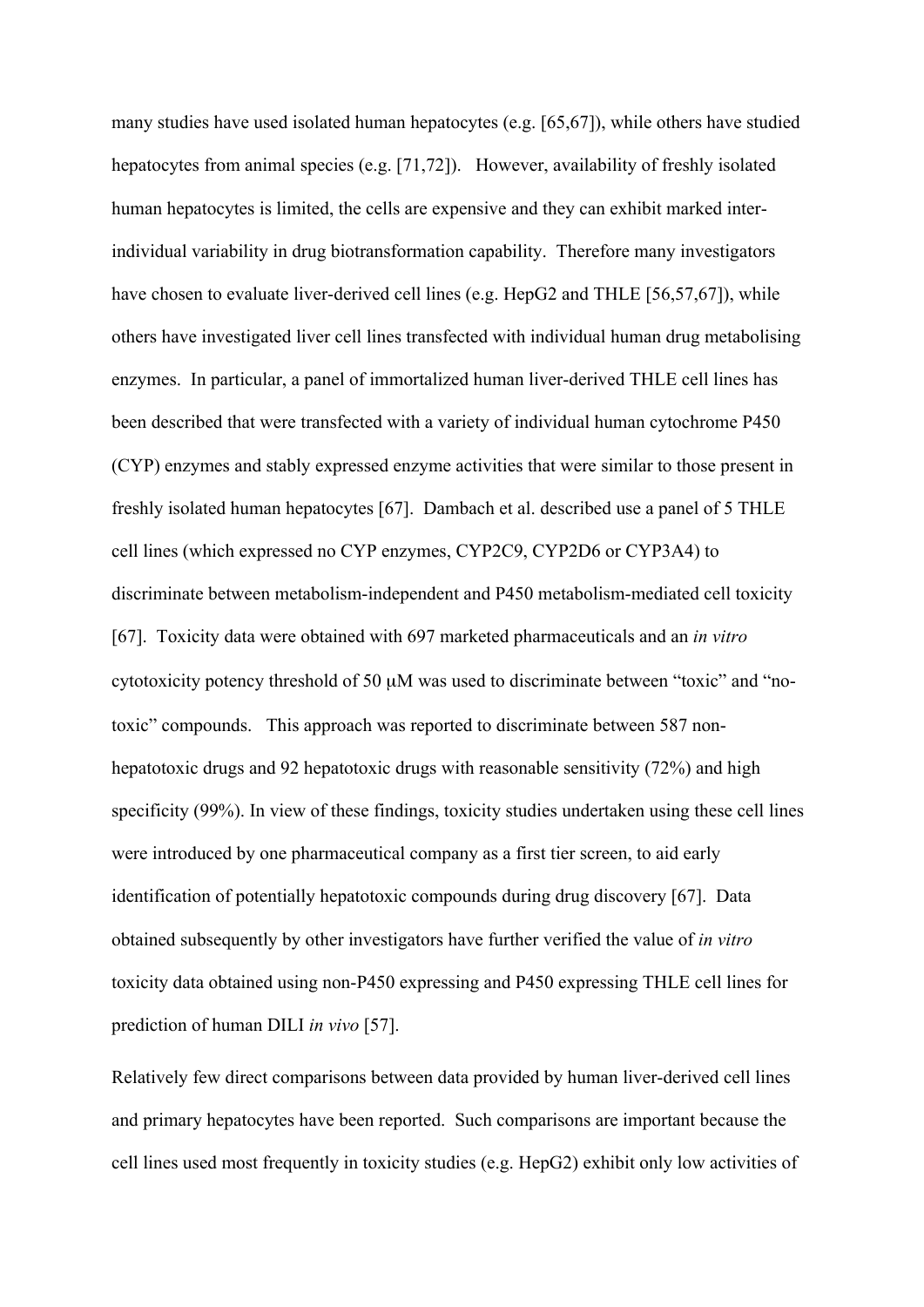many studies have used isolated human hepatocytes (e.g. [65,67]), while others have studied hepatocytes from animal species (e.g. [71,72]). However, availability of freshly isolated human hepatocytes is limited, the cells are expensive and they can exhibit marked interindividual variability in drug biotransformation capability. Therefore many investigators have chosen to evaluate liver-derived cell lines (e.g. HepG2 and THLE [56,57,67]), while others have investigated liver cell lines transfected with individual human drug metabolising enzymes. In particular, a panel of immortalized human liver-derived THLE cell lines has been described that were transfected with a variety of individual human cytochrome P450 (CYP) enzymes and stably expressed enzyme activities that were similar to those present in freshly isolated human hepatocytes [67]. Dambach et al. described use a panel of 5 THLE cell lines (which expressed no CYP enzymes, CYP2C9, CYP2D6 or CYP3A4) to discriminate between metabolism-independent and P450 metabolism-mediated cell toxicity [67]. Toxicity data were obtained with 697 marketed pharmaceuticals and an *in vitro* cytotoxicity potency threshold of 50 µM was used to discriminate between "toxic" and "notoxic" compounds. This approach was reported to discriminate between 587 nonhepatotoxic drugs and 92 hepatotoxic drugs with reasonable sensitivity (72%) and high specificity (99%). In view of these findings, toxicity studies undertaken using these cell lines were introduced by one pharmaceutical company as a first tier screen, to aid early identification of potentially hepatotoxic compounds during drug discovery [67]. Data obtained subsequently by other investigators have further verified the value of *in vitro* toxicity data obtained using non-P450 expressing and P450 expressing THLE cell lines for prediction of human DILI *in vivo* [57].

Relatively few direct comparisons between data provided by human liver-derived cell lines and primary hepatocytes have been reported. Such comparisons are important because the cell lines used most frequently in toxicity studies (e.g. HepG2) exhibit only low activities of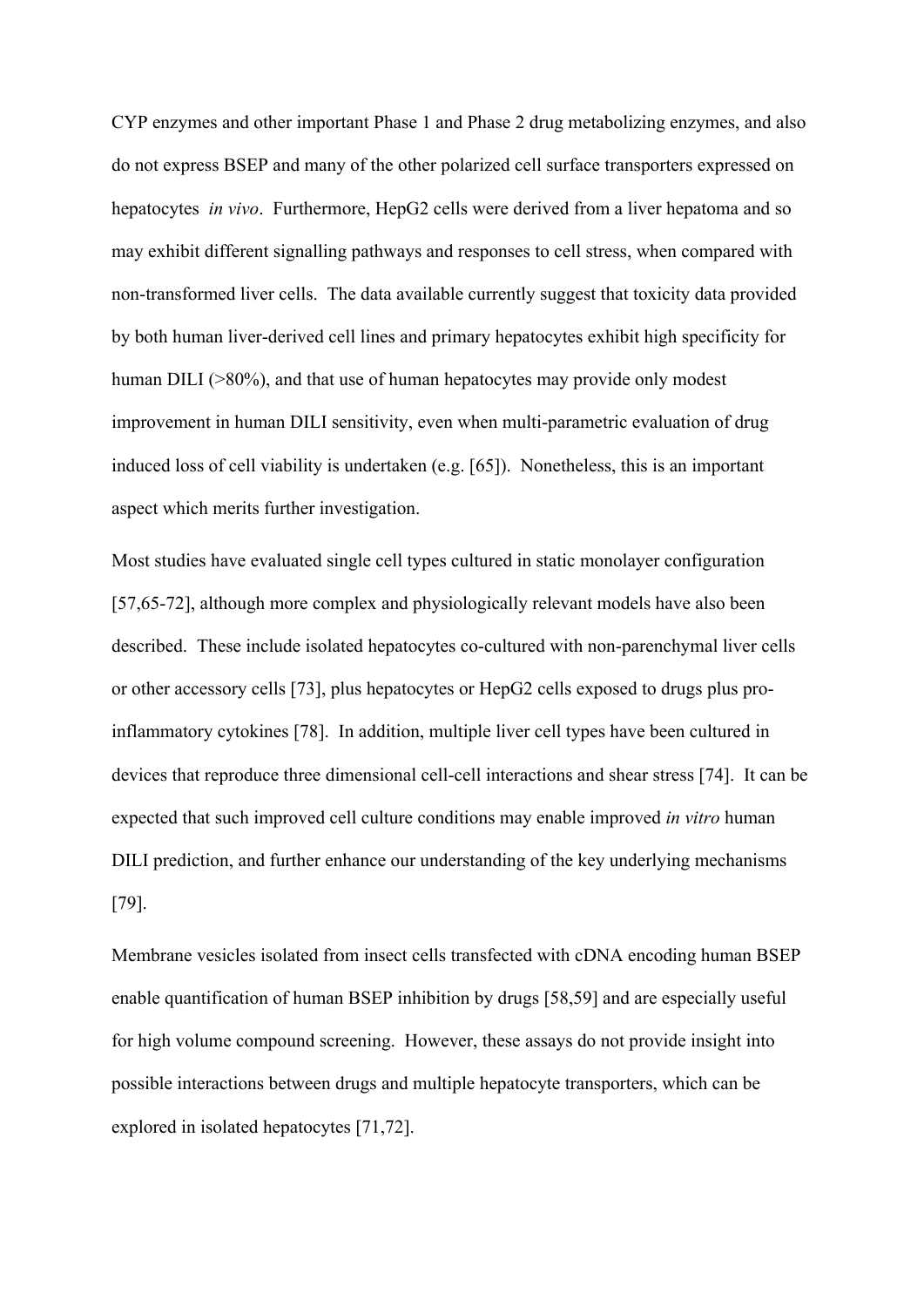CYP enzymes and other important Phase 1 and Phase 2 drug metabolizing enzymes, and also do not express BSEP and many of the other polarized cell surface transporters expressed on hepatocytes *in vivo*. Furthermore, HepG2 cells were derived from a liver hepatoma and so may exhibit different signalling pathways and responses to cell stress, when compared with non-transformed liver cells. The data available currently suggest that toxicity data provided by both human liver-derived cell lines and primary hepatocytes exhibit high specificity for human DILI ( $>80\%$ ), and that use of human hepatocytes may provide only modest improvement in human DILI sensitivity, even when multi-parametric evaluation of drug induced loss of cell viability is undertaken (e.g. [65]). Nonetheless, this is an important aspect which merits further investigation.

Most studies have evaluated single cell types cultured in static monolayer configuration [57,65-72], although more complex and physiologically relevant models have also been described. These include isolated hepatocytes co-cultured with non-parenchymal liver cells or other accessory cells [73], plus hepatocytes or HepG2 cells exposed to drugs plus proinflammatory cytokines [78]. In addition, multiple liver cell types have been cultured in devices that reproduce three dimensional cell-cell interactions and shear stress [74]. It can be expected that such improved cell culture conditions may enable improved *in vitro* human DILI prediction, and further enhance our understanding of the key underlying mechanisms [79].

Membrane vesicles isolated from insect cells transfected with cDNA encoding human BSEP enable quantification of human BSEP inhibition by drugs [58,59] and are especially useful for high volume compound screening. However, these assays do not provide insight into possible interactions between drugs and multiple hepatocyte transporters, which can be explored in isolated hepatocytes [71,72].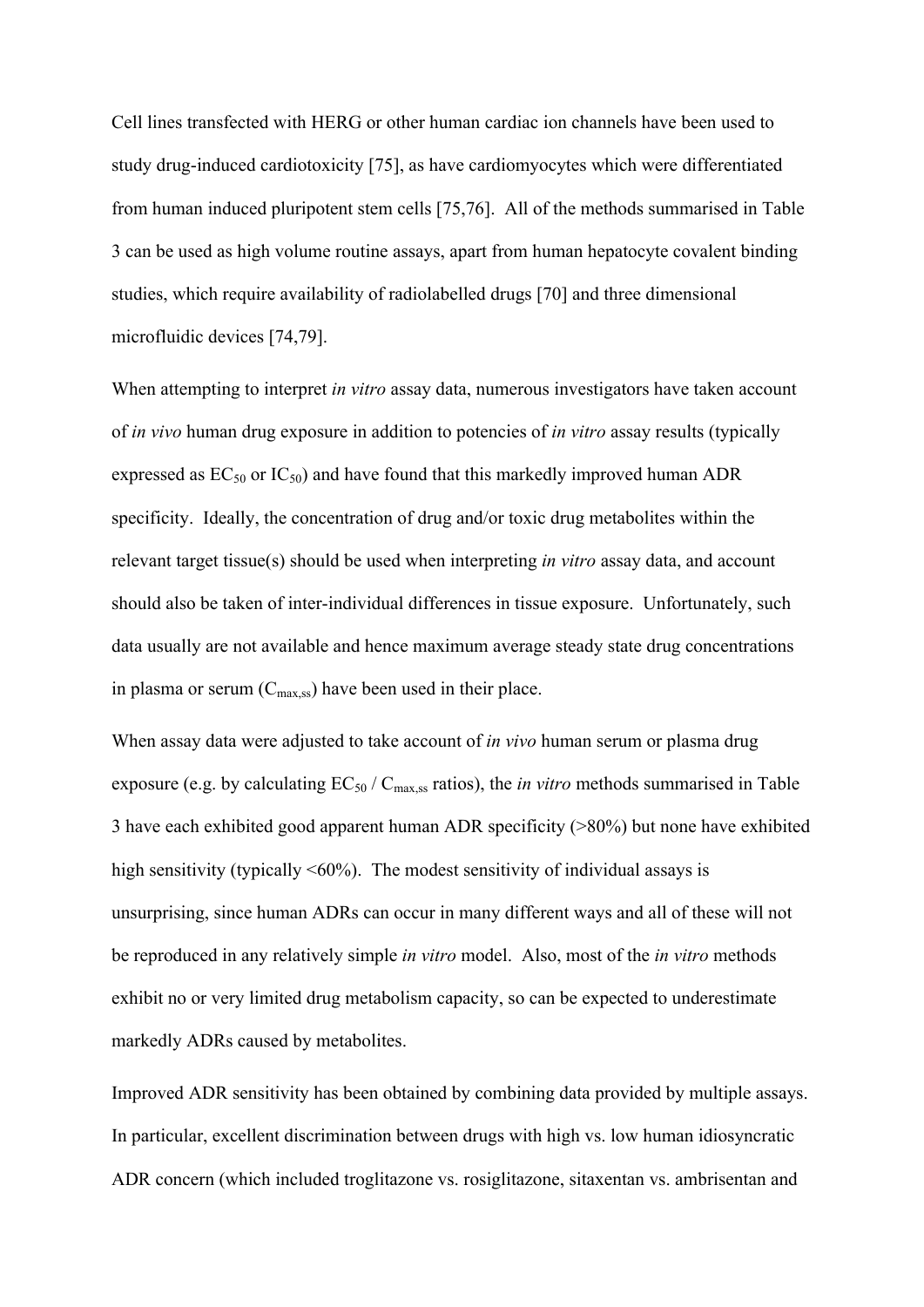Cell lines transfected with HERG or other human cardiac ion channels have been used to study drug-induced cardiotoxicity [75], as have cardiomyocytes which were differentiated from human induced pluripotent stem cells [75,76]. All of the methods summarised in Table 3 can be used as high volume routine assays, apart from human hepatocyte covalent binding studies, which require availability of radiolabelled drugs [70] and three dimensional microfluidic devices [74,79].

When attempting to interpret *in vitro* assay data, numerous investigators have taken account of *in vivo* human drug exposure in addition to potencies of *in vitro* assay results (typically expressed as  $EC_{50}$  or  $IC_{50}$ ) and have found that this markedly improved human ADR specificity. Ideally, the concentration of drug and/or toxic drug metabolites within the relevant target tissue(s) should be used when interpreting *in vitro* assay data, and account should also be taken of inter-individual differences in tissue exposure. Unfortunately, such data usually are not available and hence maximum average steady state drug concentrations in plasma or serum  $(C_{\text{max,ss}})$  have been used in their place.

When assay data were adjusted to take account of *in vivo* human serum or plasma drug exposure (e.g. by calculating  $EC_{50}$  /  $C_{max,ss}$  ratios), the *in vitro* methods summarised in Table 3 have each exhibited good apparent human ADR specificity (>80%) but none have exhibited high sensitivity (typically  $\leq 60\%$ ). The modest sensitivity of individual assays is unsurprising, since human ADRs can occur in many different ways and all of these will not be reproduced in any relatively simple *in vitro* model. Also, most of the *in vitro* methods exhibit no or very limited drug metabolism capacity, so can be expected to underestimate markedly ADRs caused by metabolites.

Improved ADR sensitivity has been obtained by combining data provided by multiple assays. In particular, excellent discrimination between drugs with high vs. low human idiosyncratic ADR concern (which included troglitazone vs. rosiglitazone, sitaxentan vs. ambrisentan and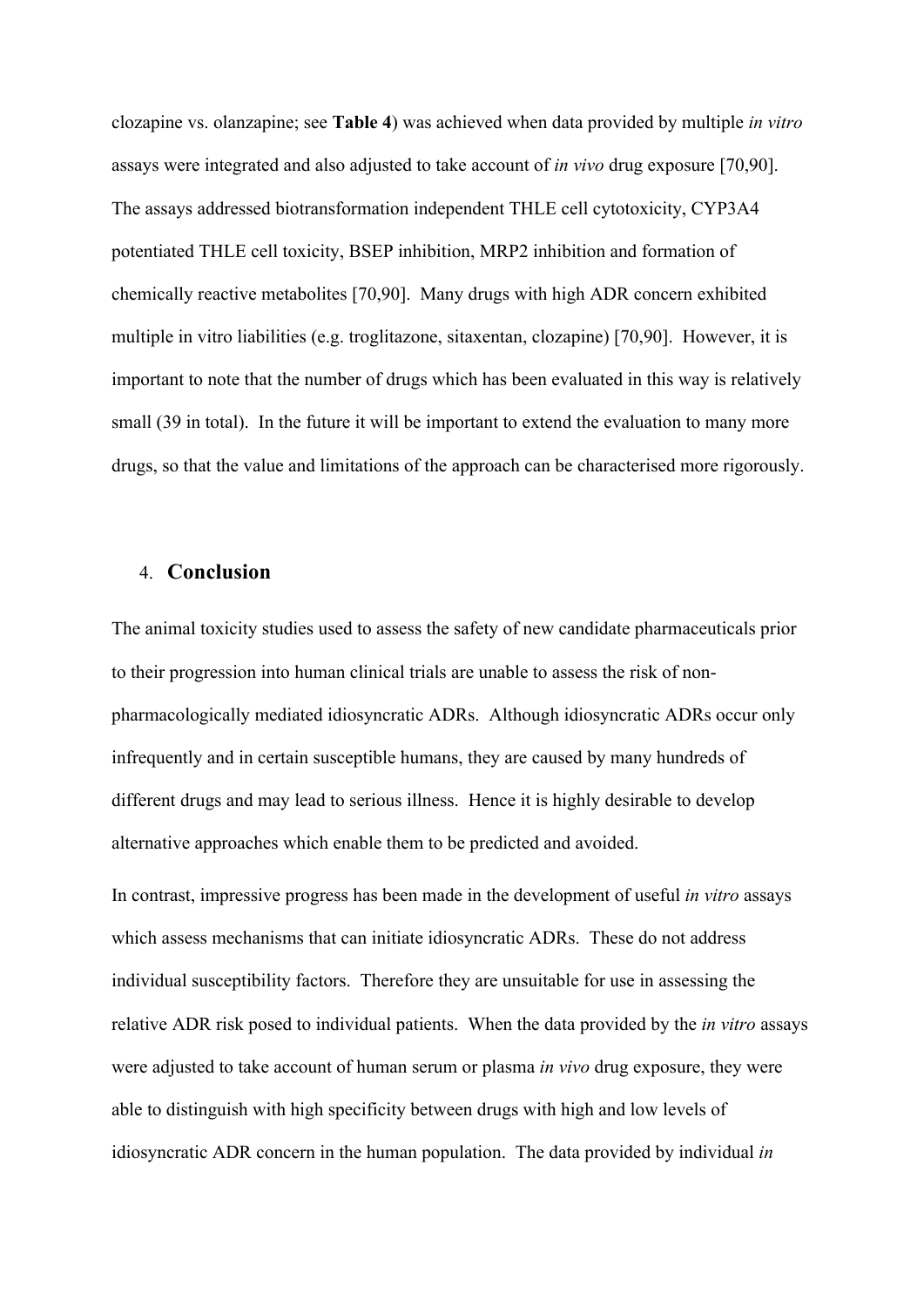clozapine vs. olanzapine; see **Table 4**) was achieved when data provided by multiple *in vitro* assays were integrated and also adjusted to take account of *in vivo* drug exposure [70,90]. The assays addressed biotransformation independent THLE cell cytotoxicity, CYP3A4 potentiated THLE cell toxicity, BSEP inhibition, MRP2 inhibition and formation of chemically reactive metabolites [70,90]. Many drugs with high ADR concern exhibited multiple in vitro liabilities (e.g. troglitazone, sitaxentan, clozapine) [70,90]. However, it is important to note that the number of drugs which has been evaluated in this way is relatively small (39 in total). In the future it will be important to extend the evaluation to many more drugs, so that the value and limitations of the approach can be characterised more rigorously.

#### 4. **Conclusion**

The animal toxicity studies used to assess the safety of new candidate pharmaceuticals prior to their progression into human clinical trials are unable to assess the risk of nonpharmacologically mediated idiosyncratic ADRs. Although idiosyncratic ADRs occur only infrequently and in certain susceptible humans, they are caused by many hundreds of different drugs and may lead to serious illness. Hence it is highly desirable to develop alternative approaches which enable them to be predicted and avoided.

In contrast, impressive progress has been made in the development of useful *in vitro* assays which assess mechanisms that can initiate idiosyncratic ADRs. These do not address individual susceptibility factors. Therefore they are unsuitable for use in assessing the relative ADR risk posed to individual patients. When the data provided by the *in vitro* assays were adjusted to take account of human serum or plasma *in vivo* drug exposure, they were able to distinguish with high specificity between drugs with high and low levels of idiosyncratic ADR concern in the human population. The data provided by individual *in*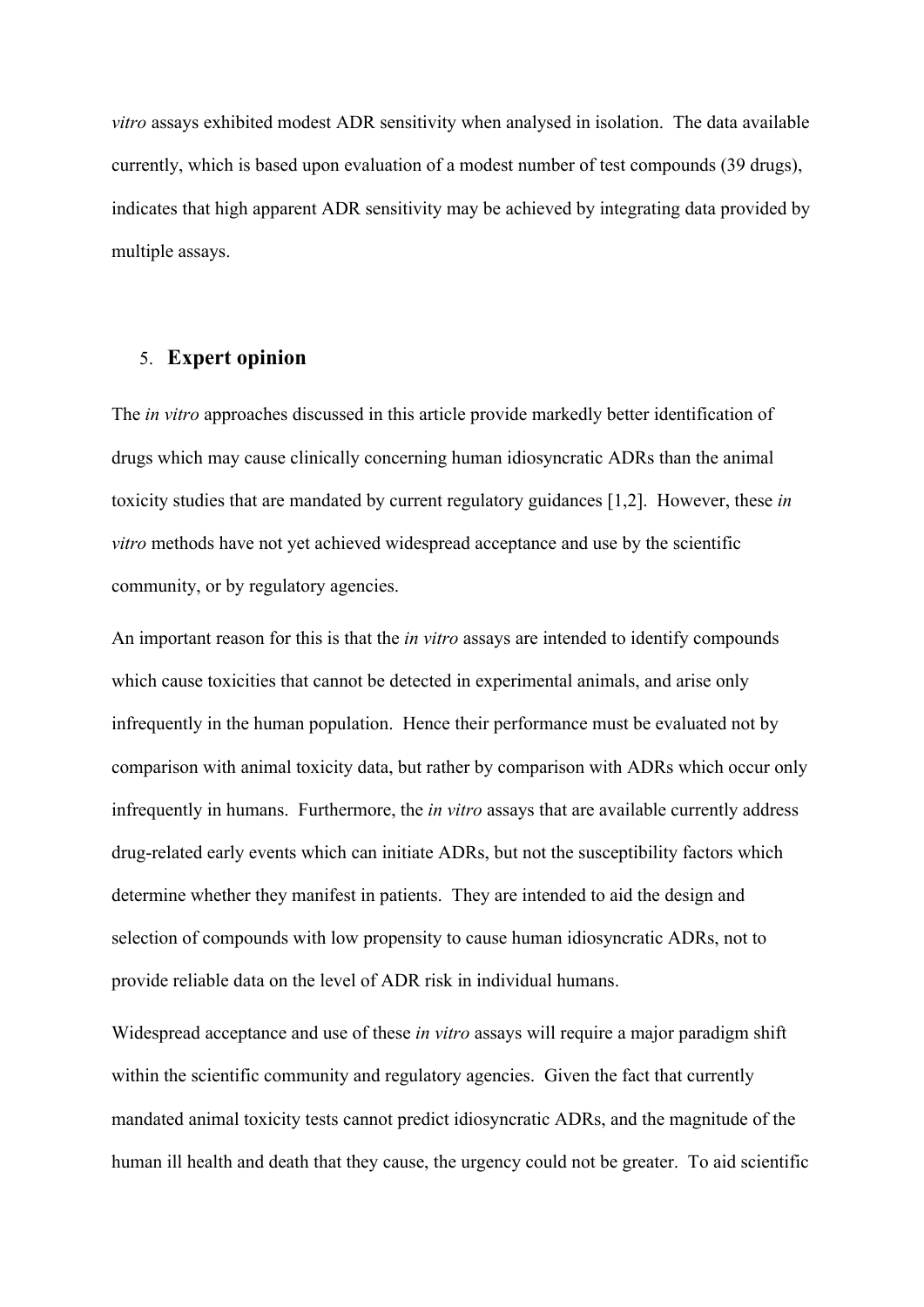*vitro* assays exhibited modest ADR sensitivity when analysed in isolation. The data available currently, which is based upon evaluation of a modest number of test compounds (39 drugs), indicates that high apparent ADR sensitivity may be achieved by integrating data provided by multiple assays.

#### 5. **Expert opinion**

The *in vitro* approaches discussed in this article provide markedly better identification of drugs which may cause clinically concerning human idiosyncratic ADRs than the animal toxicity studies that are mandated by current regulatory guidances [1,2]. However, these *in vitro* methods have not yet achieved widespread acceptance and use by the scientific community, or by regulatory agencies.

An important reason for this is that the *in vitro* assays are intended to identify compounds which cause toxicities that cannot be detected in experimental animals, and arise only infrequently in the human population. Hence their performance must be evaluated not by comparison with animal toxicity data, but rather by comparison with ADRs which occur only infrequently in humans. Furthermore, the *in vitro* assays that are available currently address drug-related early events which can initiate ADRs, but not the susceptibility factors which determine whether they manifest in patients. They are intended to aid the design and selection of compounds with low propensity to cause human idiosyncratic ADRs, not to provide reliable data on the level of ADR risk in individual humans.

Widespread acceptance and use of these *in vitro* assays will require a major paradigm shift within the scientific community and regulatory agencies. Given the fact that currently mandated animal toxicity tests cannot predict idiosyncratic ADRs, and the magnitude of the human ill health and death that they cause, the urgency could not be greater. To aid scientific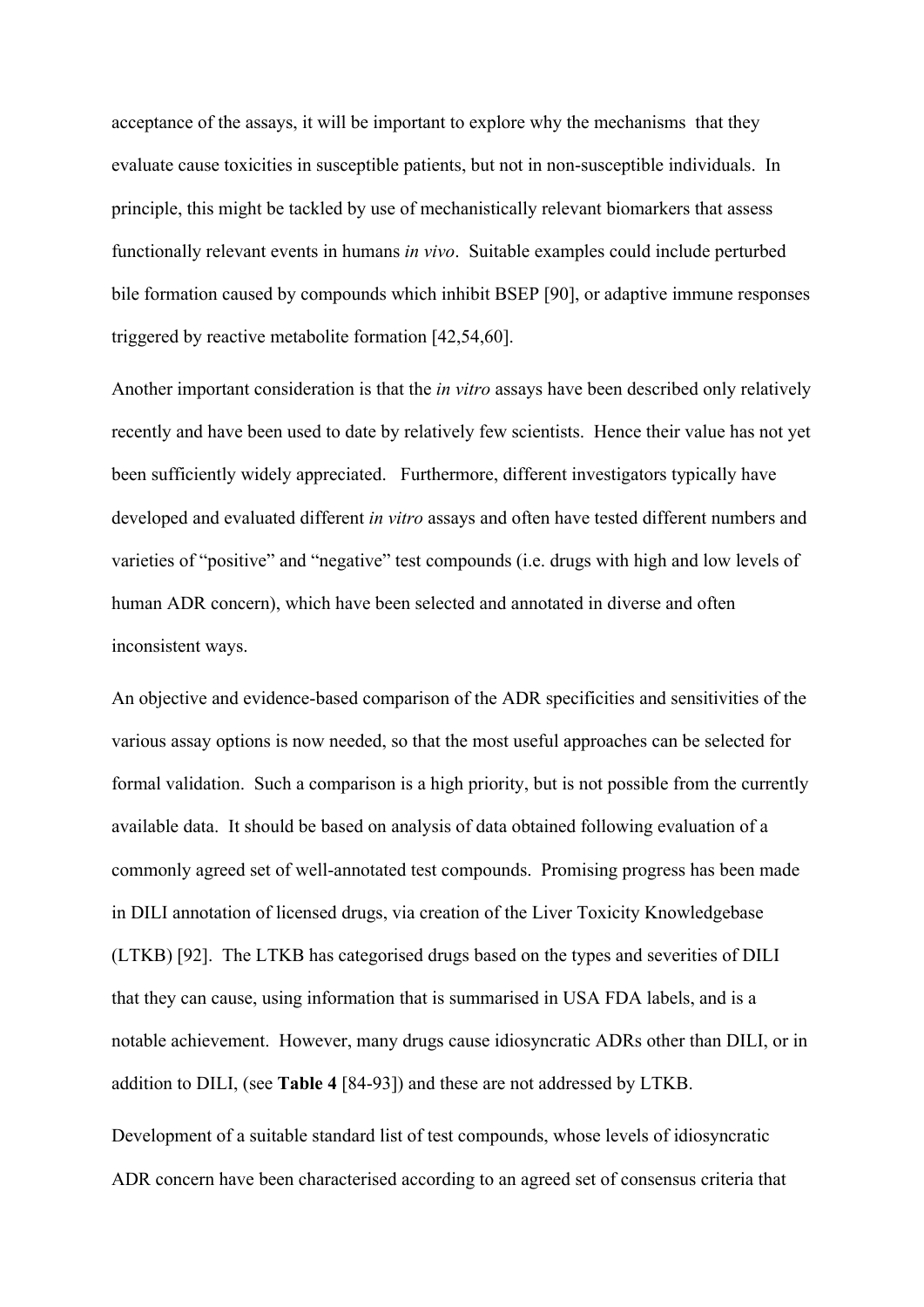acceptance of the assays, it will be important to explore why the mechanisms that they evaluate cause toxicities in susceptible patients, but not in non-susceptible individuals. In principle, this might be tackled by use of mechanistically relevant biomarkers that assess functionally relevant events in humans *in vivo*. Suitable examples could include perturbed bile formation caused by compounds which inhibit BSEP [90], or adaptive immune responses triggered by reactive metabolite formation [42,54,60].

Another important consideration is that the *in vitro* assays have been described only relatively recently and have been used to date by relatively few scientists. Hence their value has not yet been sufficiently widely appreciated. Furthermore, different investigators typically have developed and evaluated different *in vitro* assays and often have tested different numbers and varieties of "positive" and "negative" test compounds (i.e. drugs with high and low levels of human ADR concern), which have been selected and annotated in diverse and often inconsistent ways.

An objective and evidence-based comparison of the ADR specificities and sensitivities of the various assay options is now needed, so that the most useful approaches can be selected for formal validation. Such a comparison is a high priority, but is not possible from the currently available data. It should be based on analysis of data obtained following evaluation of a commonly agreed set of well-annotated test compounds. Promising progress has been made in DILI annotation of licensed drugs, via creation of the Liver Toxicity Knowledgebase (LTKB) [92]. The LTKB has categorised drugs based on the types and severities of DILI that they can cause, using information that is summarised in USA FDA labels, and is a notable achievement. However, many drugs cause idiosyncratic ADRs other than DILI, or in addition to DILI, (see **Table 4** [84-93]) and these are not addressed by LTKB. Development of a suitable standard list of test compounds, whose levels of idiosyncratic ADR concern have been characterised according to an agreed set of consensus criteria that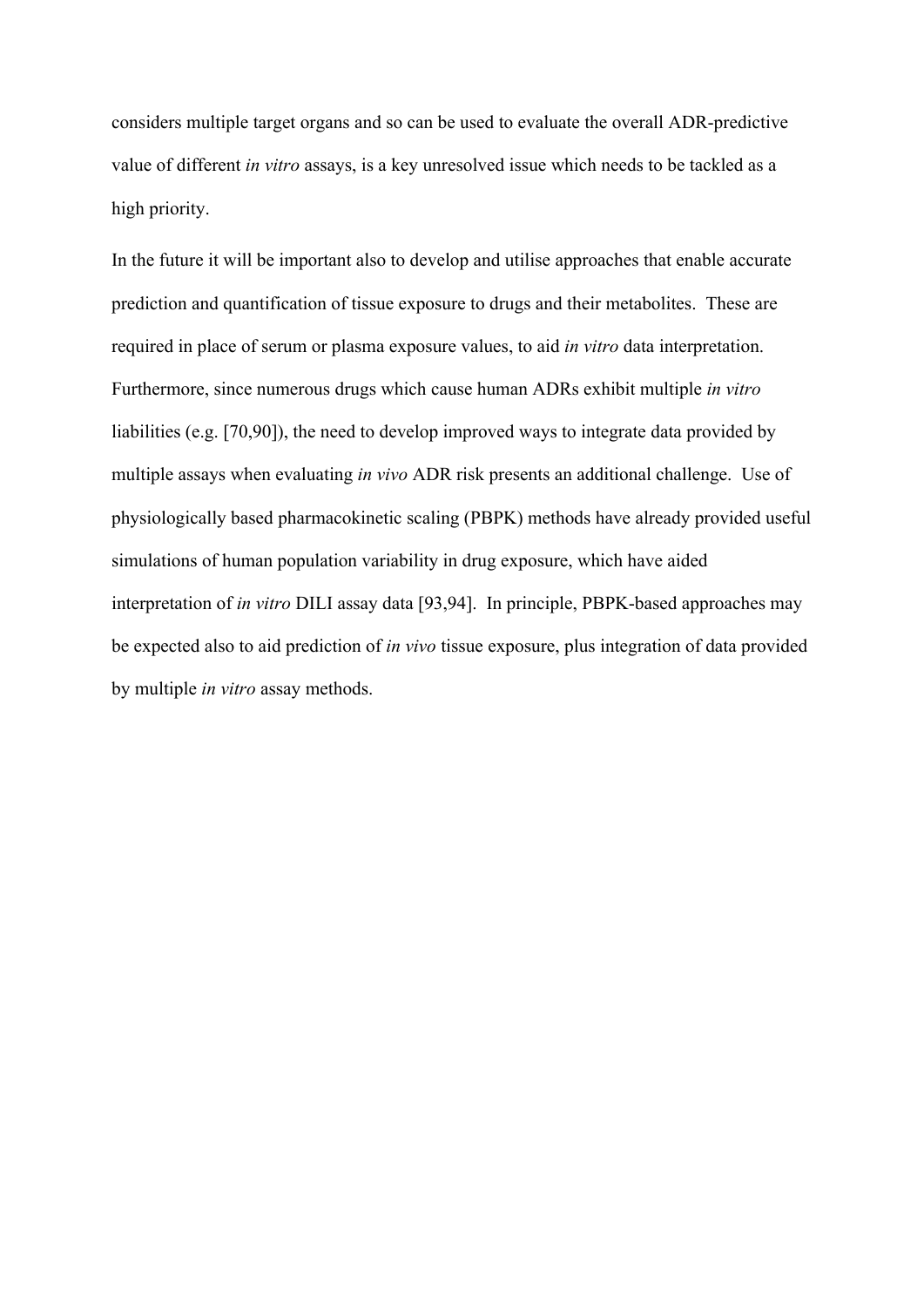considers multiple target organs and so can be used to evaluate the overall ADR-predictive value of different *in vitro* assays, is a key unresolved issue which needs to be tackled as a high priority.

In the future it will be important also to develop and utilise approaches that enable accurate prediction and quantification of tissue exposure to drugs and their metabolites. These are required in place of serum or plasma exposure values, to aid *in vitro* data interpretation. Furthermore, since numerous drugs which cause human ADRs exhibit multiple *in vitro*  liabilities (e.g. [70,90]), the need to develop improved ways to integrate data provided by multiple assays when evaluating *in vivo* ADR risk presents an additional challenge. Use of physiologically based pharmacokinetic scaling (PBPK) methods have already provided useful simulations of human population variability in drug exposure, which have aided interpretation of *in vitro* DILI assay data [93,94]. In principle, PBPK-based approaches may be expected also to aid prediction of *in vivo* tissue exposure, plus integration of data provided by multiple *in vitro* assay methods.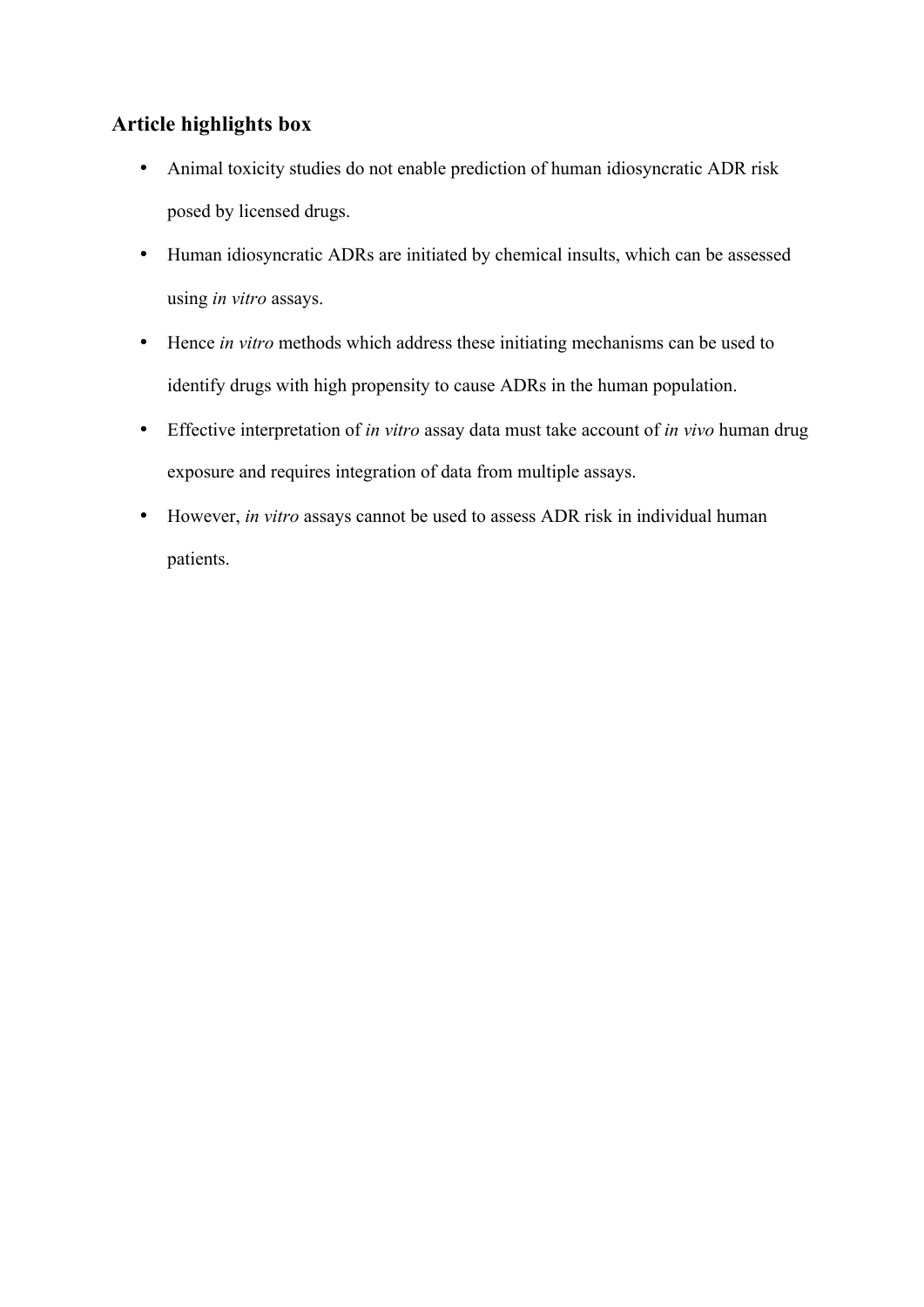## **Article highlights box**

- Animal toxicity studies do not enable prediction of human idiosyncratic ADR risk posed by licensed drugs.
- Human idiosyncratic ADRs are initiated by chemical insults, which can be assessed using *in vitro* assays.
- Hence *in vitro* methods which address these initiating mechanisms can be used to identify drugs with high propensity to cause ADRs in the human population.
- Effective interpretation of *in vitro* assay data must take account of *in vivo* human drug exposure and requires integration of data from multiple assays.
- However, *in vitro* assays cannot be used to assess ADR risk in individual human patients.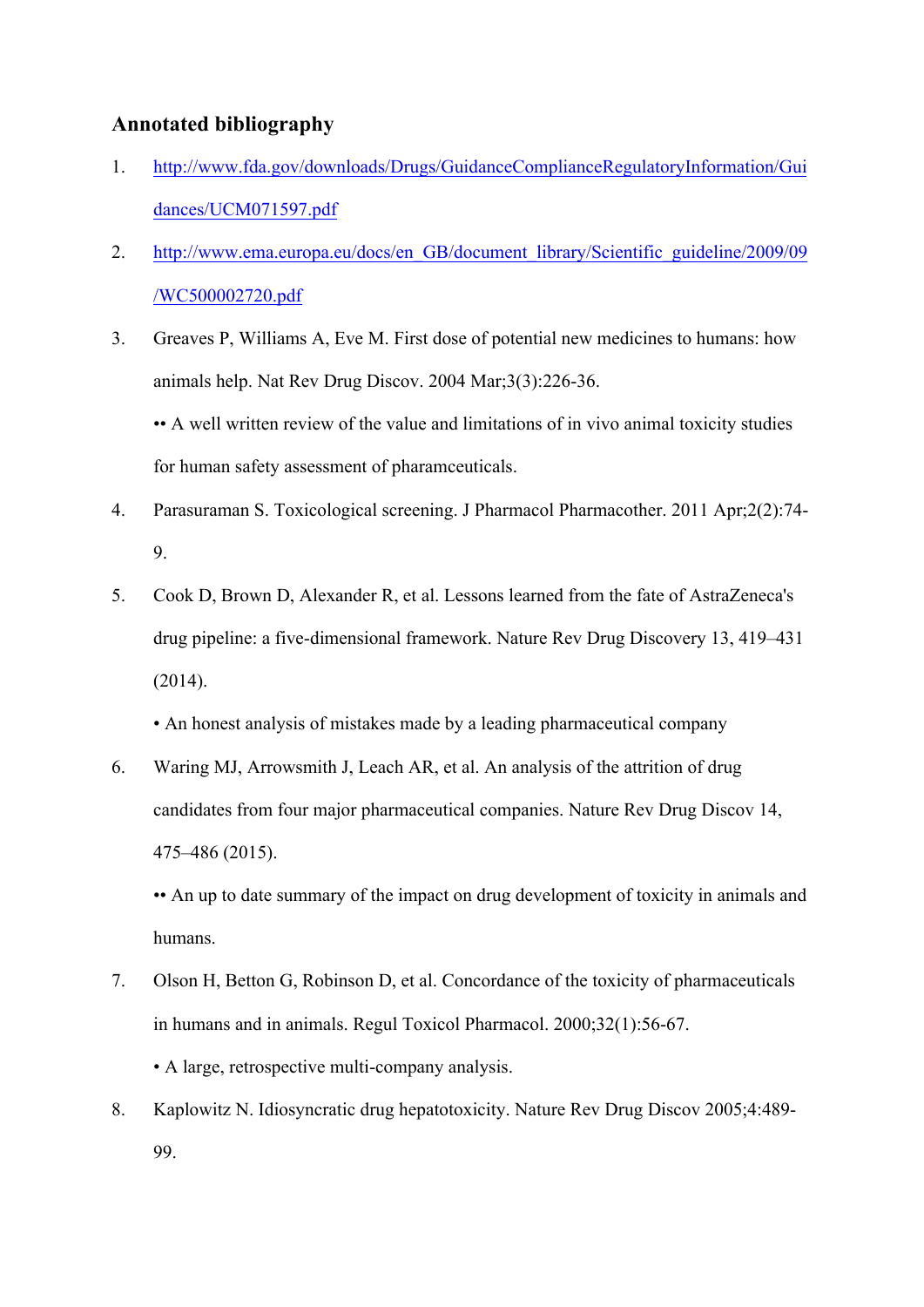### **Annotated bibliography**

- 1. http://www.fda.gov/downloads/Drugs/GuidanceComplianceRegulatoryInformation/Gui dances/UCM071597.pdf
- 2. http://www.ema.europa.eu/docs/en\_GB/document\_library/Scientific\_guideline/2009/09 /WC500002720.pdf
- 3. Greaves P, Williams A, Eve M. First dose of potential new medicines to humans: how animals help. Nat Rev Drug Discov. 2004 Mar;3(3):226-36.

•• A well written review of the value and limitations of in vivo animal toxicity studies for human safety assessment of pharamceuticals.

- 4. Parasuraman S. Toxicological screening. J Pharmacol Pharmacother. 2011 Apr;2(2):74- 9.
- 5. Cook D, Brown D, Alexander R, et al. Lessons learned from the fate of AstraZeneca's drug pipeline: a five-dimensional framework. Nature Rev Drug Discovery 13, 419–431 (2014).
	- An honest analysis of mistakes made by a leading pharmaceutical company
- 6. Waring MJ, Arrowsmith J, Leach AR, et al. An analysis of the attrition of drug candidates from four major pharmaceutical companies. Nature Rev Drug Discov 14, 475–486 (2015).

•• An up to date summary of the impact on drug development of toxicity in animals and humans.

- 7. Olson H, Betton G, Robinson D, et al. Concordance of the toxicity of pharmaceuticals in humans and in animals. Regul Toxicol Pharmacol. 2000;32(1):56-67. • A large, retrospective multi-company analysis.
- 8. Kaplowitz N. Idiosyncratic drug hepatotoxicity. Nature Rev Drug Discov 2005;4:489- 99.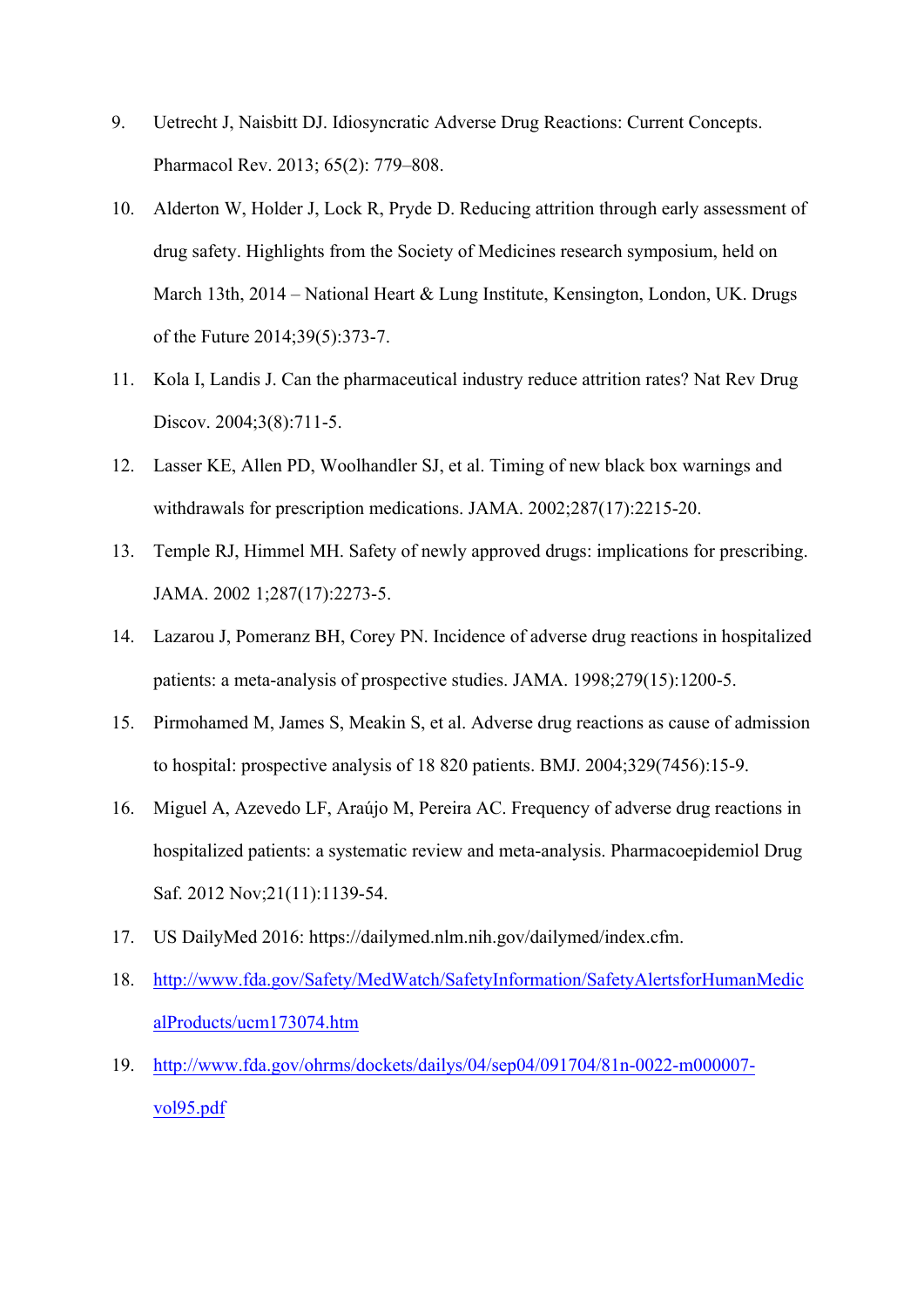- 9. Uetrecht J, Naisbitt DJ. Idiosyncratic Adverse Drug Reactions: Current Concepts. Pharmacol Rev. 2013; 65(2): 779–808.
- 10. Alderton W, Holder J, Lock R, Pryde D. Reducing attrition through early assessment of drug safety. Highlights from the Society of Medicines research symposium, held on March 13th, 2014 – National Heart & Lung Institute, Kensington, London, UK. Drugs of the Future 2014;39(5):373-7.
- 11. Kola I, Landis J. Can the pharmaceutical industry reduce attrition rates? Nat Rev Drug Discov. 2004;3(8):711-5.
- 12. Lasser KE, Allen PD, Woolhandler SJ, et al. Timing of new black box warnings and withdrawals for prescription medications. JAMA. 2002;287(17):2215-20.
- 13. Temple RJ, Himmel MH. Safety of newly approved drugs: implications for prescribing. JAMA. 2002 1;287(17):2273-5.
- 14. Lazarou J, Pomeranz BH, Corey PN. Incidence of adverse drug reactions in hospitalized patients: a meta-analysis of prospective studies. JAMA. 1998;279(15):1200-5.
- 15. Pirmohamed M, James S, Meakin S, et al. Adverse drug reactions as cause of admission to hospital: prospective analysis of 18 820 patients. BMJ. 2004;329(7456):15-9.
- 16. Miguel A, Azevedo LF, Araújo M, Pereira AC. Frequency of adverse drug reactions in hospitalized patients: a systematic review and meta-analysis. Pharmacoepidemiol Drug Saf. 2012 Nov;21(11):1139-54.
- 17. US DailyMed 2016: https://dailymed.nlm.nih.gov/dailymed/index.cfm.
- 18. http://www.fda.gov/Safety/MedWatch/SafetyInformation/SafetyAlertsforHumanMedic alProducts/ucm173074.htm
- 19. http://www.fda.gov/ohrms/dockets/dailys/04/sep04/091704/81n-0022-m000007 vol95.pdf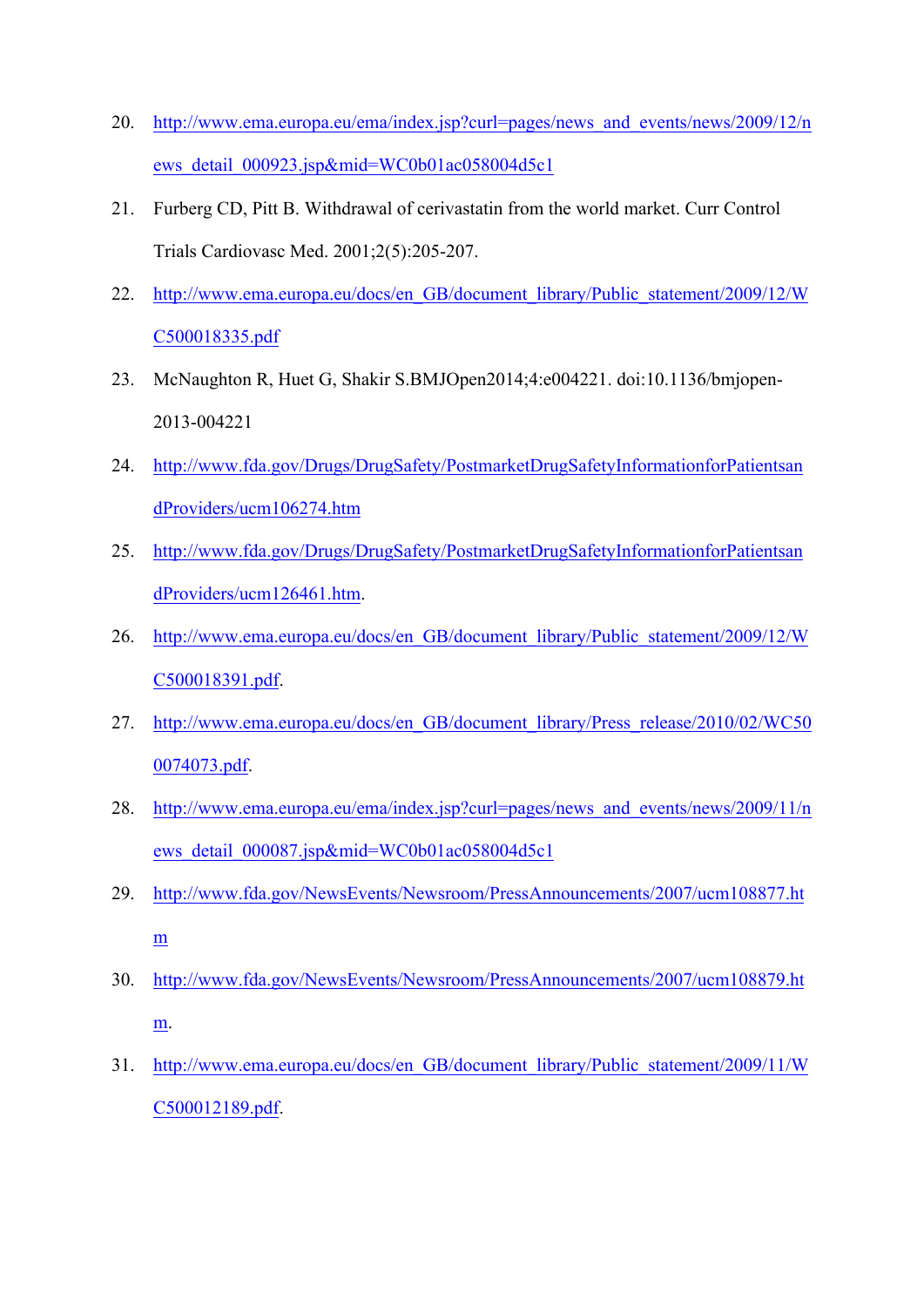- 20. http://www.ema.europa.eu/ema/index.jsp?curl=pages/news\_and\_events/news/2009/12/n ews\_detail\_000923.jsp&mid=WC0b01ac058004d5c1
- 21. Furberg CD, Pitt B. Withdrawal of cerivastatin from the world market. Curr Control Trials Cardiovasc Med. 2001;2(5):205-207.
- 22. http://www.ema.europa.eu/docs/en\_GB/document\_library/Public\_statement/2009/12/W C500018335.pdf
- 23. McNaughton R, Huet G, Shakir S.BMJOpen2014;4:e004221. doi:10.1136/bmjopen-2013-004221
- 24. http://www.fda.gov/Drugs/DrugSafety/PostmarketDrugSafetyInformationforPatientsan dProviders/ucm106274.htm
- 25. http://www.fda.gov/Drugs/DrugSafety/PostmarketDrugSafetyInformationforPatientsan dProviders/ucm126461.htm.
- 26. http://www.ema.europa.eu/docs/en\_GB/document\_library/Public\_statement/2009/12/W C500018391.pdf.
- 27. http://www.ema.europa.eu/docs/en\_GB/document\_library/Press\_release/2010/02/WC50 0074073.pdf.
- 28. http://www.ema.europa.eu/ema/index.jsp?curl=pages/news\_and\_events/news/2009/11/n ews\_detail\_000087.jsp&mid=WC0b01ac058004d5c1
- 29. http://www.fda.gov/NewsEvents/Newsroom/PressAnnouncements/2007/ucm108877.ht m
- 30. http://www.fda.gov/NewsEvents/Newsroom/PressAnnouncements/2007/ucm108879.ht m.
- 31. http://www.ema.europa.eu/docs/en\_GB/document\_library/Public\_statement/2009/11/W C500012189.pdf.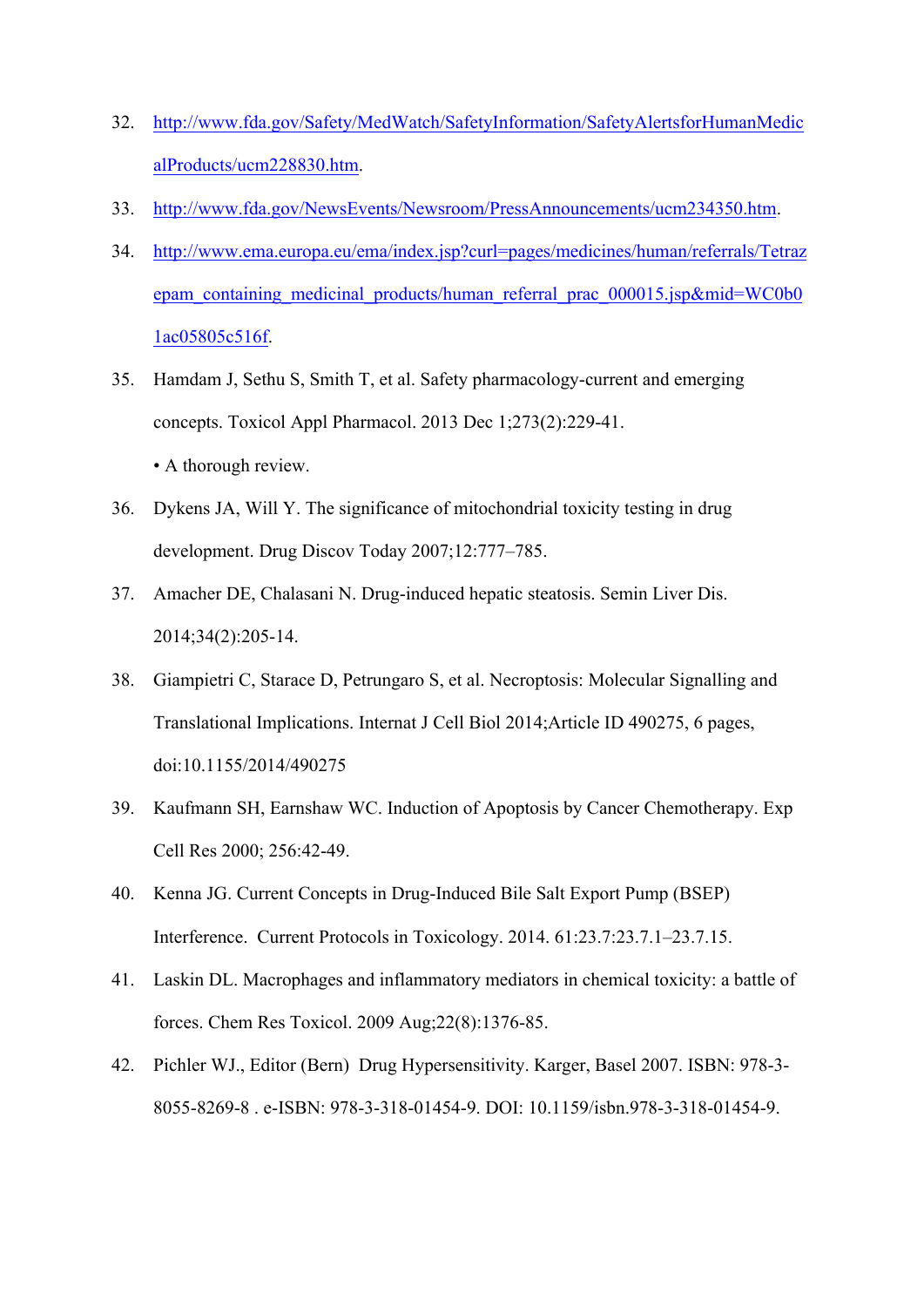- 32. http://www.fda.gov/Safety/MedWatch/SafetyInformation/SafetyAlertsforHumanMedic alProducts/ucm228830.htm.
- 33. http://www.fda.gov/NewsEvents/Newsroom/PressAnnouncements/ucm234350.htm.
- 34. http://www.ema.europa.eu/ema/index.jsp?curl=pages/medicines/human/referrals/Tetraz epam\_containing\_medicinal\_products/human\_referral\_prac\_000015.jsp&mid=WC0b0 1ac05805c516f.
- 35. Hamdam J, Sethu S, Smith T, et al. Safety pharmacology-current and emerging concepts. Toxicol Appl Pharmacol. 2013 Dec 1;273(2):229-41. • A thorough review.
- 36. Dykens JA, Will Y. The significance of mitochondrial toxicity testing in drug development. Drug Discov Today 2007;12:777–785.
- 37. Amacher DE, Chalasani N. Drug-induced hepatic steatosis. Semin Liver Dis. 2014;34(2):205-14.
- 38. Giampietri C, Starace D, Petrungaro S, et al. Necroptosis: Molecular Signalling and Translational Implications. Internat J Cell Biol 2014;Article ID 490275, 6 pages, doi:10.1155/2014/490275
- 39. Kaufmann SH, Earnshaw WC. Induction of Apoptosis by Cancer Chemotherapy. Exp Cell Res 2000; 256:42-49.
- 40. Kenna JG. Current Concepts in Drug-Induced Bile Salt Export Pump (BSEP) Interference. Current Protocols in Toxicology. 2014. 61:23.7:23.7.1–23.7.15.
- 41. Laskin DL. Macrophages and inflammatory mediators in chemical toxicity: a battle of forces. Chem Res Toxicol. 2009 Aug;22(8):1376-85.
- 42. Pichler WJ., Editor (Bern) Drug Hypersensitivity. Karger, Basel 2007. ISBN: 978-3- 8055-8269-8 . e-ISBN: 978-3-318-01454-9. DOI: 10.1159/isbn.978-3-318-01454-9.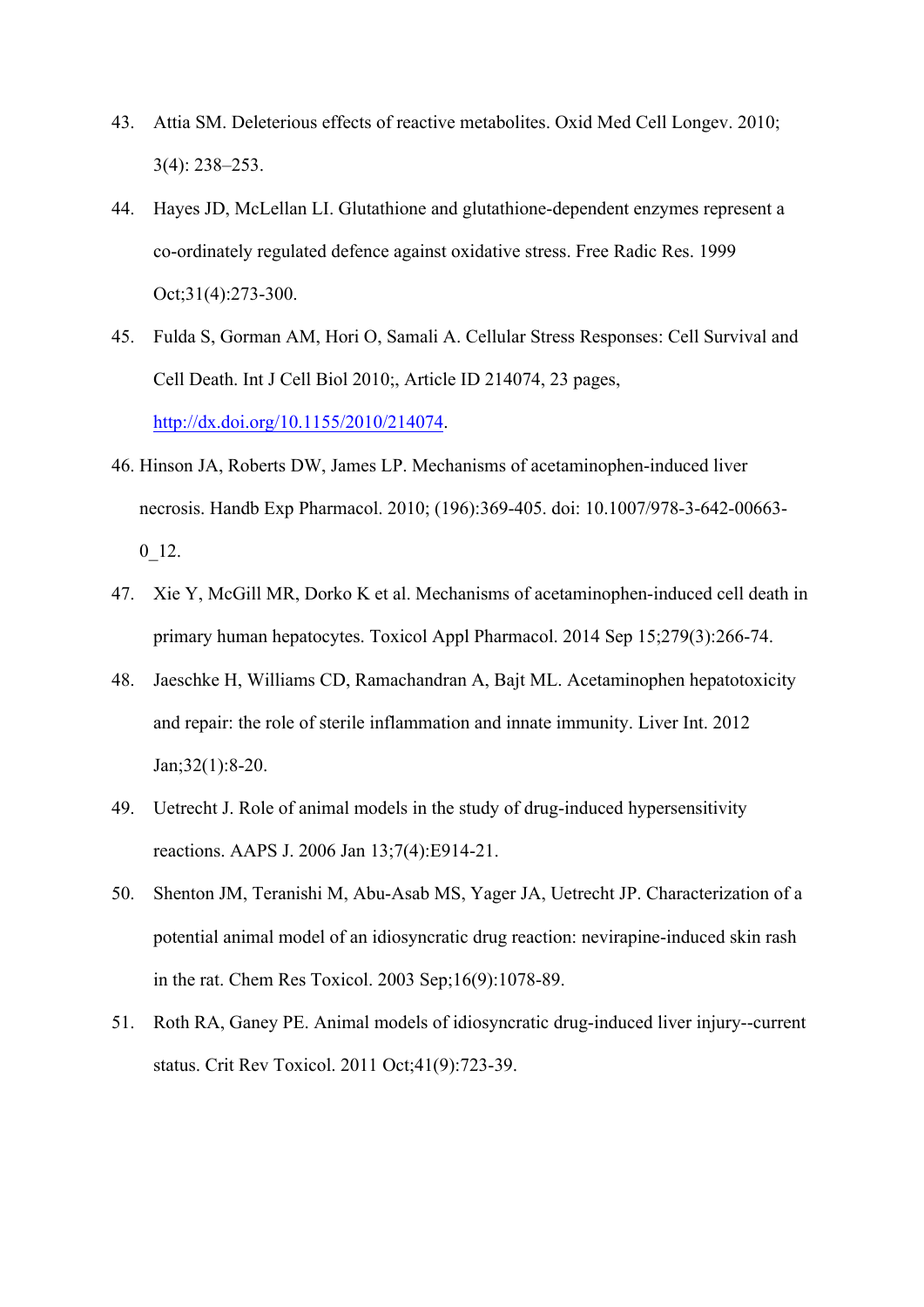- 43. Attia SM. Deleterious effects of reactive metabolites. Oxid Med Cell Longev. 2010; 3(4): 238–253.
- 44. Hayes JD, McLellan LI. Glutathione and glutathione-dependent enzymes represent a co-ordinately regulated defence against oxidative stress. Free Radic Res. 1999 Oct;31(4):273-300.
- 45. Fulda S, Gorman AM, Hori O, Samali A. Cellular Stress Responses: Cell Survival and Cell Death. Int J Cell Biol 2010;, Article ID 214074, 23 pages, http://dx.doi.org/10.1155/2010/214074.
- 46. Hinson JA, Roberts DW, James LP. Mechanisms of acetaminophen-induced liver necrosis. Handb Exp Pharmacol. 2010; (196):369-405. doi: 10.1007/978-3-642-00663- 0\_12.
- 47. Xie Y, McGill MR, Dorko K et al. Mechanisms of acetaminophen-induced cell death in primary human hepatocytes. Toxicol Appl Pharmacol. 2014 Sep 15;279(3):266-74.
- 48. Jaeschke H, Williams CD, Ramachandran A, Bajt ML. Acetaminophen hepatotoxicity and repair: the role of sterile inflammation and innate immunity. Liver Int. 2012 Jan;32(1):8-20.
- 49. Uetrecht J. Role of animal models in the study of drug-induced hypersensitivity reactions. AAPS J. 2006 Jan 13;7(4):E914-21.
- 50. Shenton JM, Teranishi M, Abu-Asab MS, Yager JA, Uetrecht JP. Characterization of a potential animal model of an idiosyncratic drug reaction: nevirapine-induced skin rash in the rat. Chem Res Toxicol. 2003 Sep;16(9):1078-89.
- 51. Roth RA, Ganey PE. Animal models of idiosyncratic drug-induced liver injury--current status. Crit Rev Toxicol. 2011 Oct;41(9):723-39.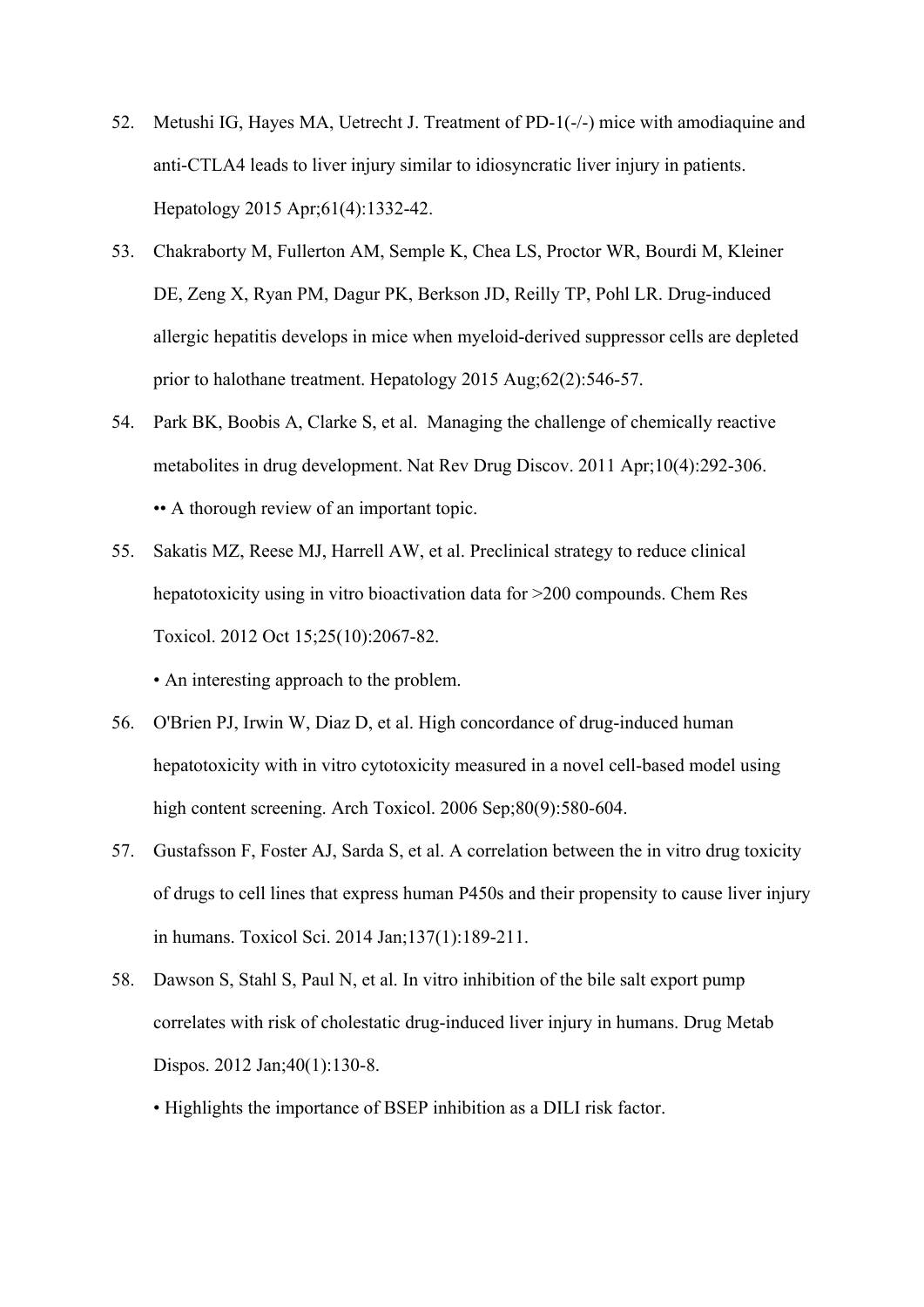- 52. Metushi IG, Hayes MA, Uetrecht J. Treatment of PD-1(-/-) mice with amodiaquine and anti-CTLA4 leads to liver injury similar to idiosyncratic liver injury in patients. Hepatology 2015 Apr;61(4):1332-42.
- 53. Chakraborty M, Fullerton AM, Semple K, Chea LS, Proctor WR, Bourdi M, Kleiner DE, Zeng X, Ryan PM, Dagur PK, Berkson JD, Reilly TP, Pohl LR. Drug-induced allergic hepatitis develops in mice when myeloid-derived suppressor cells are depleted prior to halothane treatment. Hepatology 2015 Aug;62(2):546-57.
- 54. Park BK, Boobis A, Clarke S, et al. Managing the challenge of chemically reactive metabolites in drug development. Nat Rev Drug Discov. 2011 Apr;10(4):292-306. •• A thorough review of an important topic.
- 55. Sakatis MZ, Reese MJ, Harrell AW, et al. Preclinical strategy to reduce clinical hepatotoxicity using in vitro bioactivation data for  $>200$  compounds. Chem Res Toxicol. 2012 Oct 15;25(10):2067-82.

• An interesting approach to the problem.

- 56. O'Brien PJ, Irwin W, Diaz D, et al. High concordance of drug-induced human hepatotoxicity with in vitro cytotoxicity measured in a novel cell-based model using high content screening. Arch Toxicol. 2006 Sep;80(9):580-604.
- 57. Gustafsson F, Foster AJ, Sarda S, et al. A correlation between the in vitro drug toxicity of drugs to cell lines that express human P450s and their propensity to cause liver injury in humans. Toxicol Sci. 2014 Jan;137(1):189-211.
- 58. Dawson S, Stahl S, Paul N, et al. In vitro inhibition of the bile salt export pump correlates with risk of cholestatic drug-induced liver injury in humans. Drug Metab Dispos. 2012 Jan;40(1):130-8.

• Highlights the importance of BSEP inhibition as a DILI risk factor.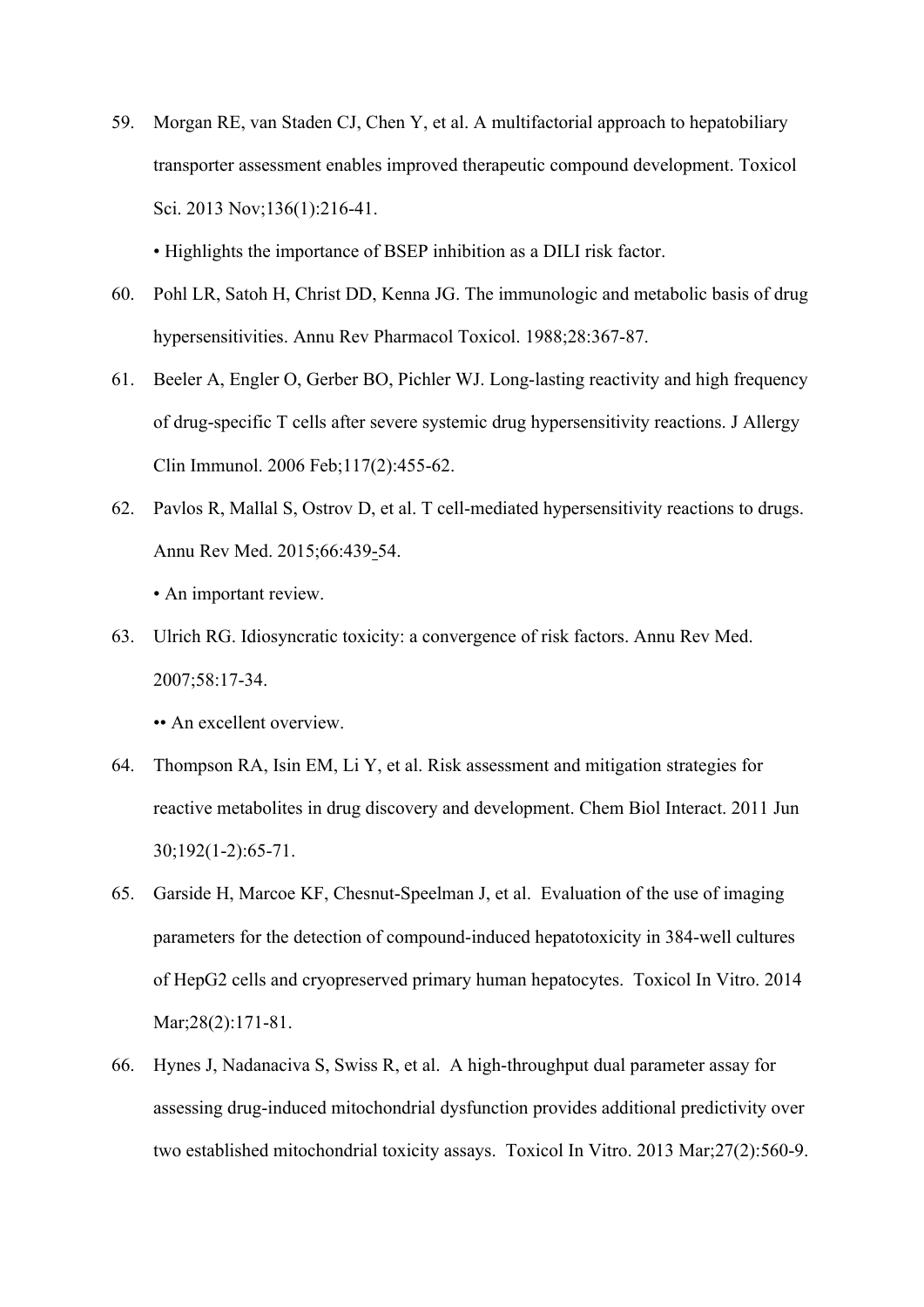59. Morgan RE, van Staden CJ, Chen Y, et al. A multifactorial approach to hepatobiliary transporter assessment enables improved therapeutic compound development. Toxicol Sci. 2013 Nov;136(1):216-41.

• Highlights the importance of BSEP inhibition as a DILI risk factor.

- 60. Pohl LR, Satoh H, Christ DD, Kenna JG. The immunologic and metabolic basis of drug hypersensitivities. Annu Rev Pharmacol Toxicol. 1988;28:367-87.
- 61. Beeler A, Engler O, Gerber BO, Pichler WJ. Long-lasting reactivity and high frequency of drug-specific T cells after severe systemic drug hypersensitivity reactions. J Allergy Clin Immunol. 2006 Feb;117(2):455-62.
- 62. Pavlos R, Mallal S, Ostrov D, et al. T cell-mediated hypersensitivity reactions to drugs. Annu Rev Med. 2015;66:439-54.

• An important review.

63. Ulrich RG. Idiosyncratic toxicity: a convergence of risk factors. Annu Rev Med. 2007;58:17-34.

• An excellent overview.

- 64. Thompson RA, Isin EM, Li Y, et al. Risk assessment and mitigation strategies for reactive metabolites in drug discovery and development. Chem Biol Interact. 2011 Jun 30;192(1-2):65-71.
- 65. Garside H, Marcoe KF, Chesnut-Speelman J, et al. Evaluation of the use of imaging parameters for the detection of compound-induced hepatotoxicity in 384-well cultures of HepG2 cells and cryopreserved primary human hepatocytes. Toxicol In Vitro. 2014 Mar; 28(2): 171-81.
- 66. Hynes J, Nadanaciva S, Swiss R, et al. A high-throughput dual parameter assay for assessing drug-induced mitochondrial dysfunction provides additional predictivity over two established mitochondrial toxicity assays. Toxicol In Vitro. 2013 Mar;27(2):560-9.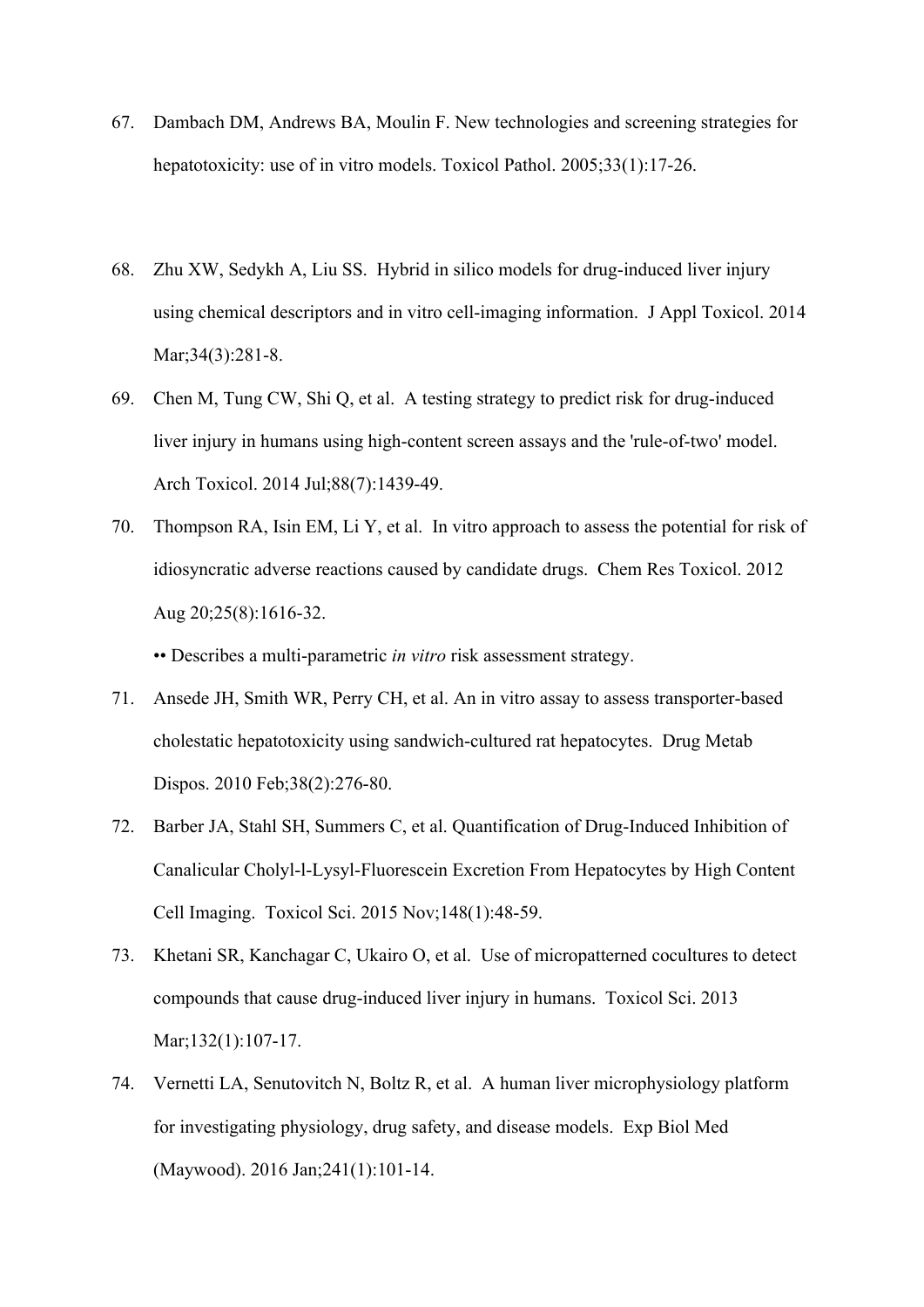- 67. Dambach DM, Andrews BA, Moulin F. New technologies and screening strategies for hepatotoxicity: use of in vitro models. Toxicol Pathol. 2005:33(1):17-26.
- 68. Zhu XW, Sedykh A, Liu SS. Hybrid in silico models for drug-induced liver injury using chemical descriptors and in vitro cell-imaging information. J Appl Toxicol. 2014 Mar;34(3):281-8.
- 69. Chen M, Tung CW, Shi Q, et al. A testing strategy to predict risk for drug-induced liver injury in humans using high-content screen assays and the 'rule-of-two' model. Arch Toxicol. 2014 Jul;88(7):1439-49.
- 70. Thompson RA, Isin EM, Li Y, et al. In vitro approach to assess the potential for risk of idiosyncratic adverse reactions caused by candidate drugs. Chem Res Toxicol. 2012 Aug 20;25(8):1616-32.

•• Describes a multi-parametric *in vitro* risk assessment strategy.

- 71. Ansede JH, Smith WR, Perry CH, et al. An in vitro assay to assess transporter-based cholestatic hepatotoxicity using sandwich-cultured rat hepatocytes. Drug Metab Dispos. 2010 Feb;38(2):276-80.
- 72. Barber JA, Stahl SH, Summers C, et al. Quantification of Drug-Induced Inhibition of Canalicular Cholyl-l-Lysyl-Fluorescein Excretion From Hepatocytes by High Content Cell Imaging. Toxicol Sci. 2015 Nov;148(1):48-59.
- 73. Khetani SR, Kanchagar C, Ukairo O, et al. Use of micropatterned cocultures to detect compounds that cause drug-induced liver injury in humans. Toxicol Sci. 2013 Mar;132(1):107-17.
- 74. Vernetti LA, Senutovitch N, Boltz R, et al. A human liver microphysiology platform for investigating physiology, drug safety, and disease models. Exp Biol Med (Maywood). 2016 Jan;241(1):101-14.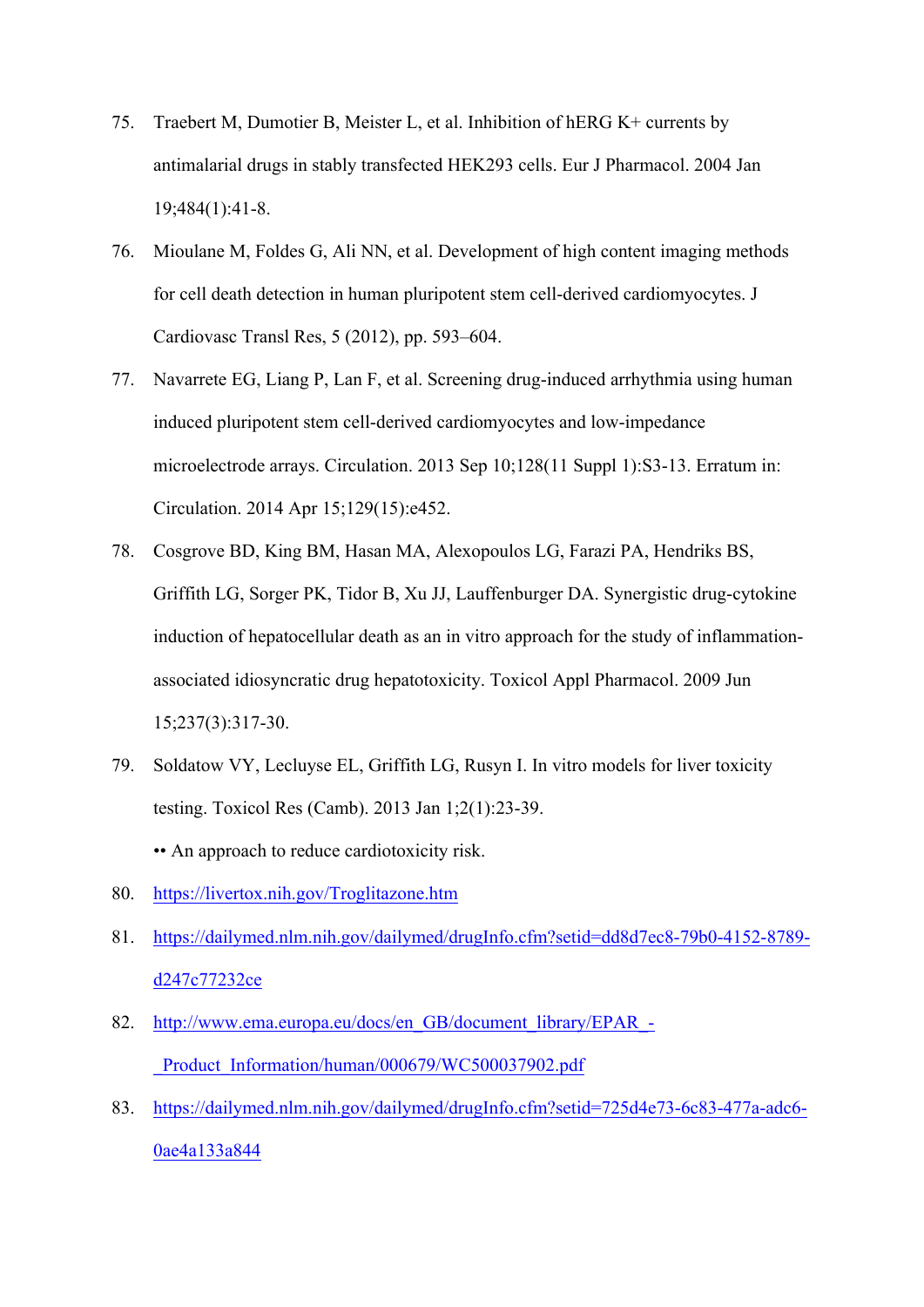- 75. Traebert M, Dumotier B, Meister L, et al. Inhibition of hERG K+ currents by antimalarial drugs in stably transfected HEK293 cells. Eur J Pharmacol. 2004 Jan 19;484(1):41-8.
- 76. Mioulane M, Foldes G, Ali NN, et al. Development of high content imaging methods for cell death detection in human pluripotent stem cell-derived cardiomyocytes. J Cardiovasc Transl Res, 5 (2012), pp. 593–604.
- 77. Navarrete EG, Liang P, Lan F, et al. Screening drug-induced arrhythmia using human induced pluripotent stem cell-derived cardiomyocytes and low-impedance microelectrode arrays. Circulation. 2013 Sep 10;128(11 Suppl 1):S3-13. Erratum in: Circulation. 2014 Apr 15;129(15):e452.
- 78. Cosgrove BD, King BM, Hasan MA, Alexopoulos LG, Farazi PA, Hendriks BS, Griffith LG, Sorger PK, Tidor B, Xu JJ, Lauffenburger DA. Synergistic drug-cytokine induction of hepatocellular death as an in vitro approach for the study of inflammationassociated idiosyncratic drug hepatotoxicity. Toxicol Appl Pharmacol. 2009 Jun 15;237(3):317-30.
- 79. Soldatow VY, Lecluyse EL, Griffith LG, Rusyn I. In vitro models for liver toxicity testing. Toxicol Res (Camb). 2013 Jan 1;2(1):23-39. •• An approach to reduce cardiotoxicity risk.
- 80. https://livertox.nih.gov/Troglitazone.htm
- 81. https://dailymed.nlm.nih.gov/dailymed/drugInfo.cfm?setid=dd8d7ec8-79b0-4152-8789 d247c77232ce
- 82. http://www.ema.europa.eu/docs/en\_GB/document\_library/EPAR\_-Product\_Information/human/000679/WC500037902.pdf
- 83. https://dailymed.nlm.nih.gov/dailymed/drugInfo.cfm?setid=725d4e73-6c83-477a-adc6- 0ae4a133a844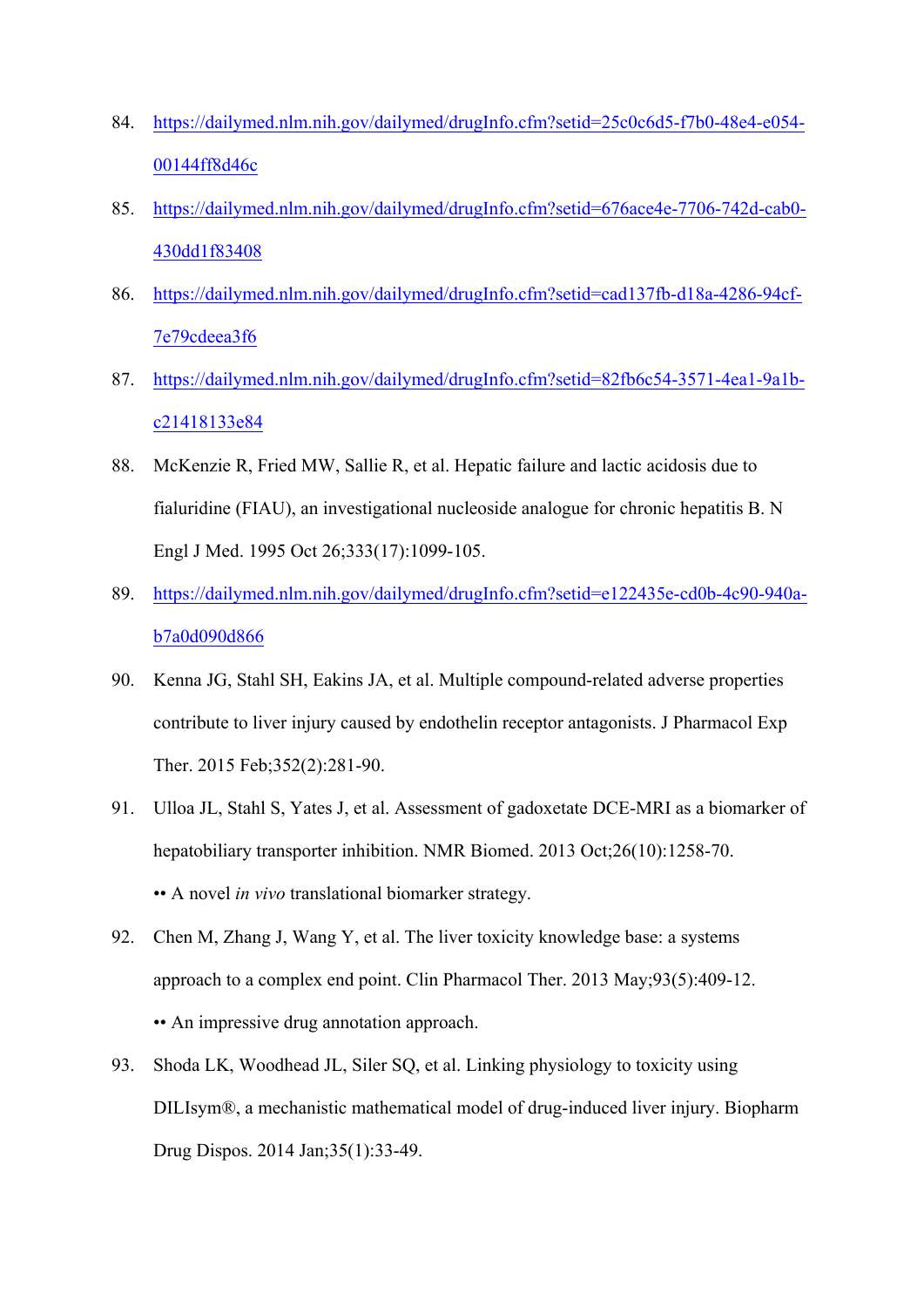- 84. https://dailymed.nlm.nih.gov/dailymed/drugInfo.cfm?setid=25c0c6d5-f7b0-48e4-e054- 00144ff8d46c
- 85. https://dailymed.nlm.nih.gov/dailymed/drugInfo.cfm?setid=676ace4e-7706-742d-cab0- 430dd1f83408
- 86. https://dailymed.nlm.nih.gov/dailymed/drugInfo.cfm?setid=cad137fb-d18a-4286-94cf-7e79cdeea3f6
- 87. https://dailymed.nlm.nih.gov/dailymed/drugInfo.cfm?setid=82fb6c54-3571-4ea1-9a1bc21418133e84
- 88. McKenzie R, Fried MW, Sallie R, et al. Hepatic failure and lactic acidosis due to fialuridine (FIAU), an investigational nucleoside analogue for chronic hepatitis B. N Engl J Med. 1995 Oct 26;333(17):1099-105.
- 89. https://dailymed.nlm.nih.gov/dailymed/drugInfo.cfm?setid=e122435e-cd0b-4c90-940ab7a0d090d866
- 90. Kenna JG, Stahl SH, Eakins JA, et al. Multiple compound-related adverse properties contribute to liver injury caused by endothelin receptor antagonists. J Pharmacol Exp Ther. 2015 Feb;352(2):281-90.
- 91. Ulloa JL, Stahl S, Yates J, et al. Assessment of gadoxetate DCE-MRI as a biomarker of hepatobiliary transporter inhibition. NMR Biomed. 2013 Oct;26(10):1258-70. •• A novel *in vivo* translational biomarker strategy.
- 92. Chen M, Zhang J, Wang Y, et al. The liver toxicity knowledge base: a systems approach to a complex end point. Clin Pharmacol Ther. 2013 May;93(5):409-12. •• An impressive drug annotation approach.
- 93. Shoda LK, Woodhead JL, Siler SQ, et al. Linking physiology to toxicity using DILIsym®, a mechanistic mathematical model of drug-induced liver injury. Biopharm Drug Dispos. 2014 Jan;35(1):33-49.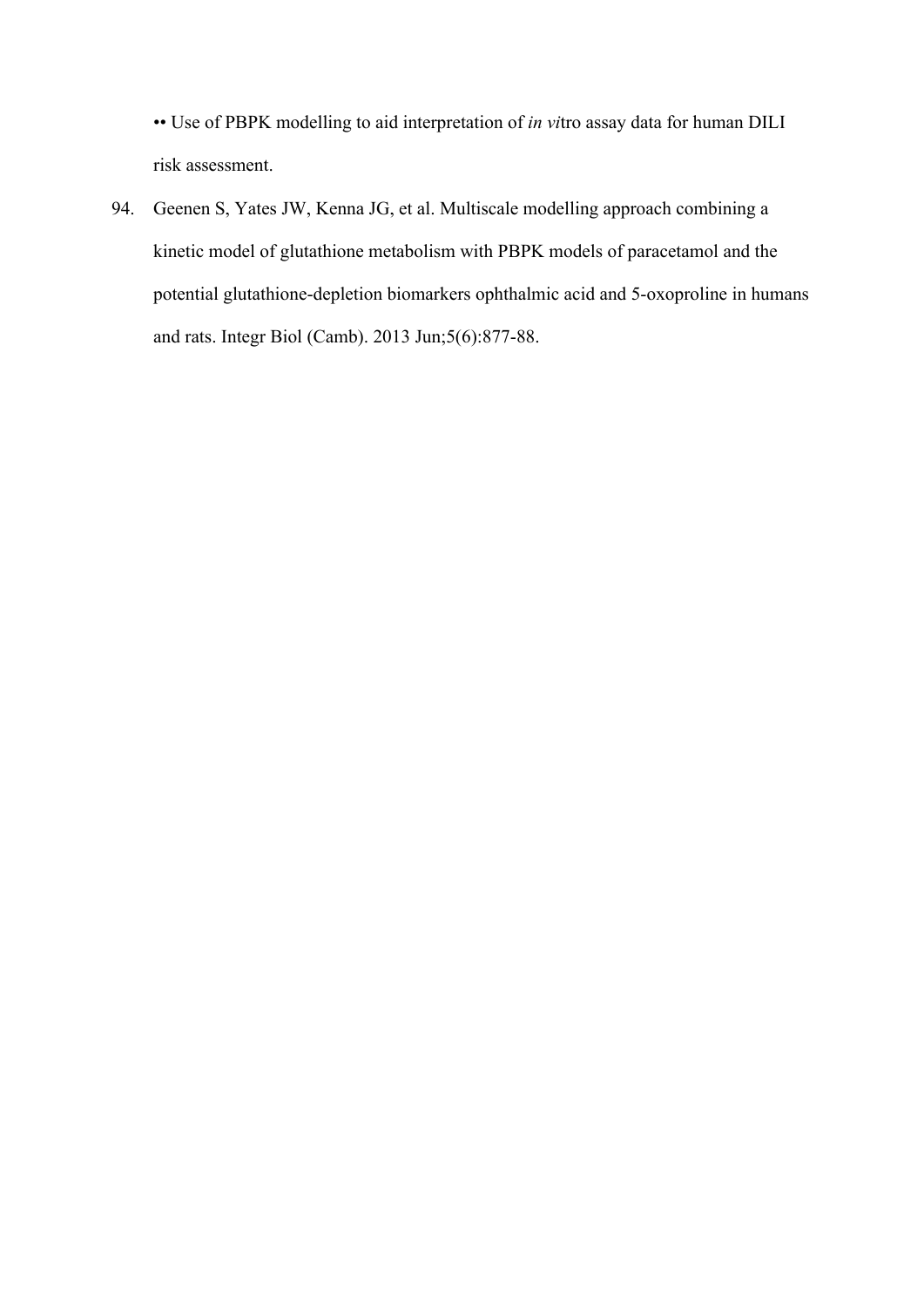•• Use of PBPK modelling to aid interpretation of *in vi*tro assay data for human DILI risk assessment.

94. Geenen S, Yates JW, Kenna JG, et al. Multiscale modelling approach combining a kinetic model of glutathione metabolism with PBPK models of paracetamol and the potential glutathione-depletion biomarkers ophthalmic acid and 5-oxoproline in humans and rats. Integr Biol (Camb). 2013 Jun;5(6):877-88.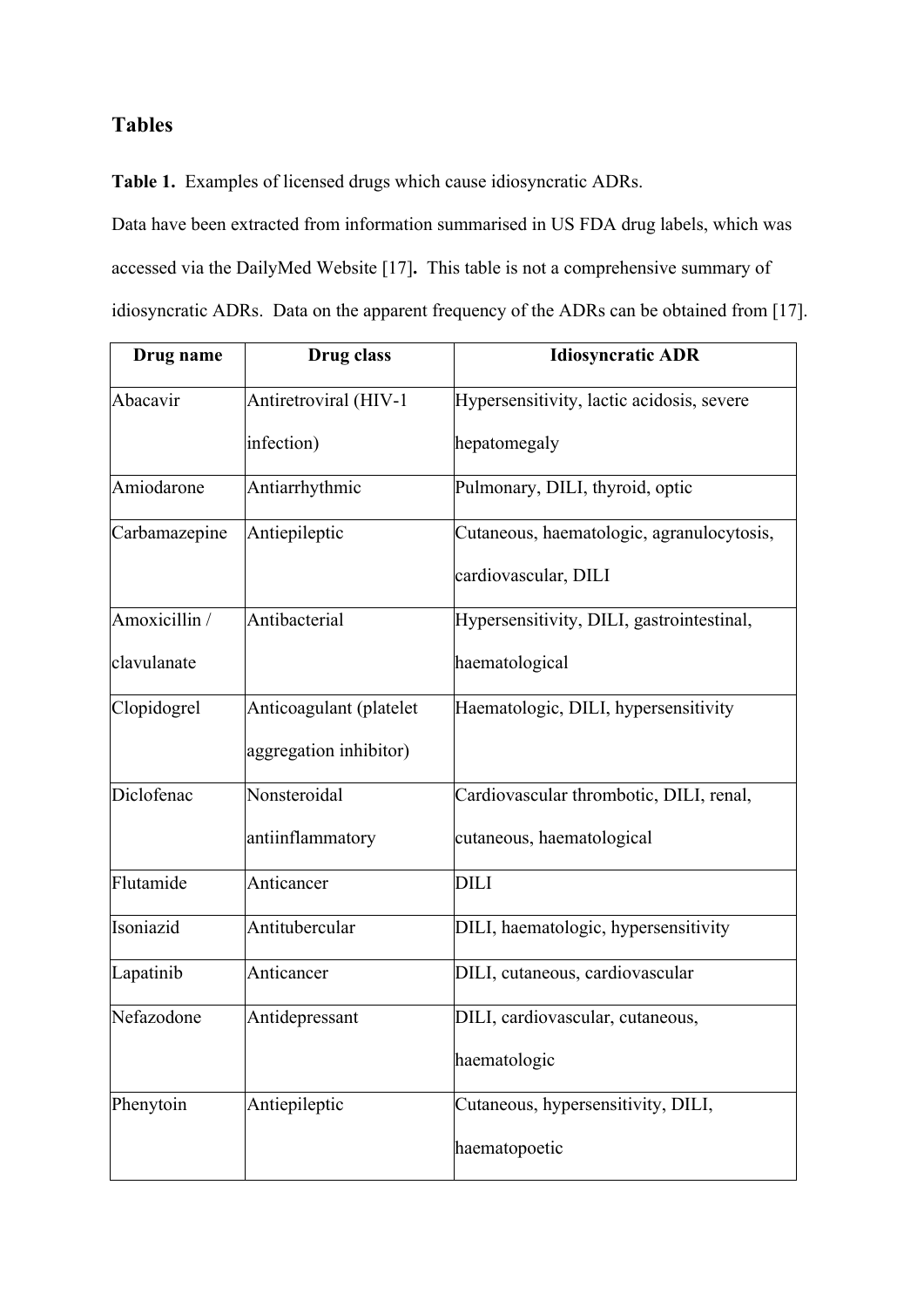## **Tables**

**Table 1.** Examples of licensed drugs which cause idiosyncratic ADRs.

Data have been extracted from information summarised in US FDA drug labels, which was accessed via the DailyMed Website [17]**.** This table is not a comprehensive summary of idiosyncratic ADRs. Data on the apparent frequency of the ADRs can be obtained from [17].

| Drug name     | Drug class              | <b>Idiosyncratic ADR</b>                  |
|---------------|-------------------------|-------------------------------------------|
| Abacavir      | Antiretroviral (HIV-1   | Hypersensitivity, lactic acidosis, severe |
|               | infection)              | hepatomegaly                              |
| Amiodarone    | Antiarrhythmic          | Pulmonary, DILI, thyroid, optic           |
| Carbamazepine | Antiepileptic           | Cutaneous, haematologic, agranulocytosis, |
|               |                         | cardiovascular, DILI                      |
| Amoxicillin / | Antibacterial           | Hypersensitivity, DILI, gastrointestinal, |
| clavulanate   |                         | haematological                            |
| Clopidogrel   | Anticoagulant (platelet | Haematologic, DILI, hypersensitivity      |
|               | aggregation inhibitor)  |                                           |
| Diclofenac    | Nonsteroidal            | Cardiovascular thrombotic, DILI, renal,   |
|               | antiinflammatory        | cutaneous, haematological                 |
| Flutamide     | Anticancer              | <b>DILI</b>                               |
| Isoniazid     | Antitubercular          | DILI, haematologic, hypersensitivity      |
| Lapatinib     | Anticancer              | DILI, cutaneous, cardiovascular           |
| Nefazodone    | Antidepressant          | DILI, cardiovascular, cutaneous,          |
|               |                         | haematologic                              |
| Phenytoin     | Antiepileptic           | Cutaneous, hypersensitivity, DILI,        |
|               |                         | haematopoetic                             |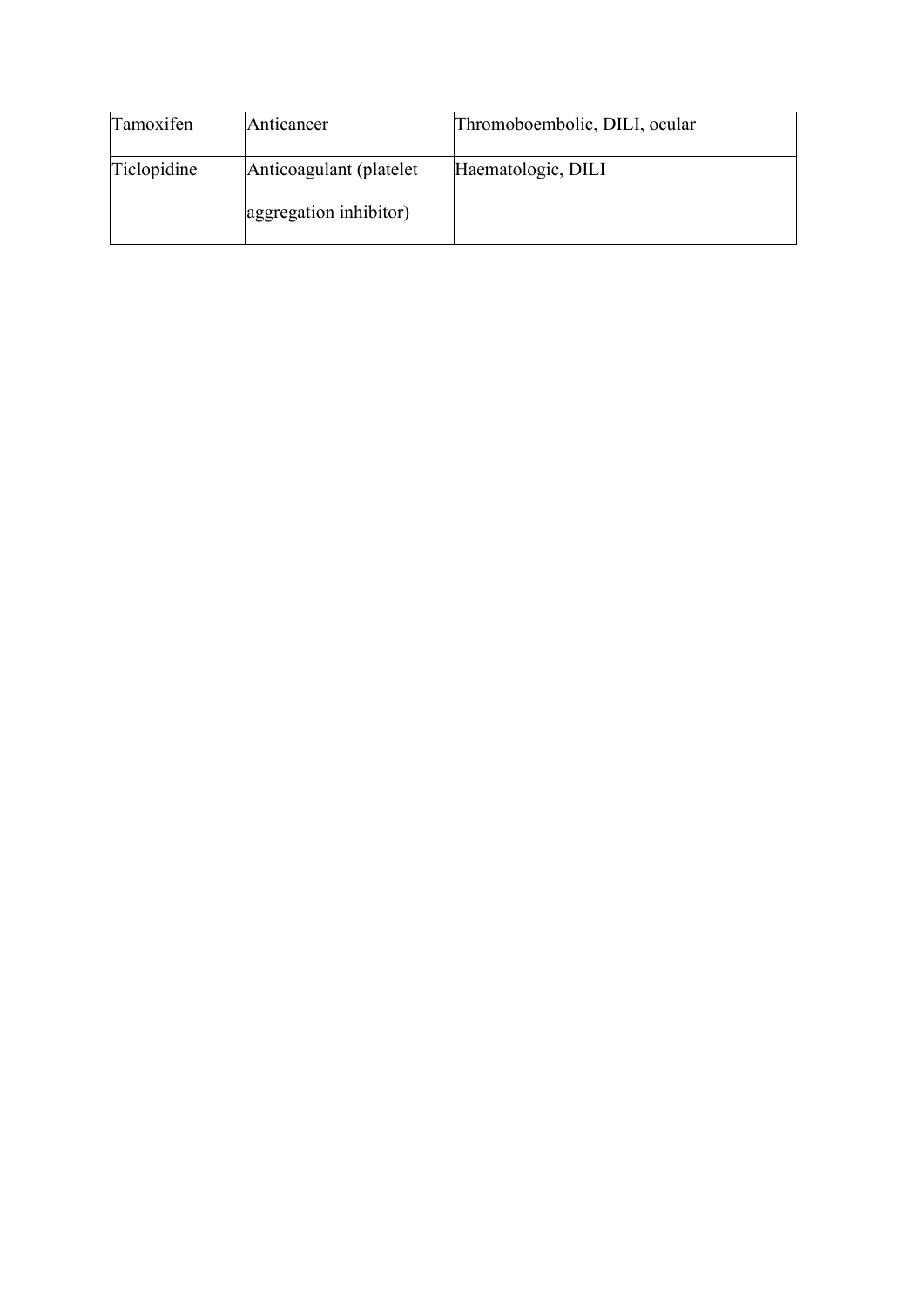| Tamoxifen   | Anticancer              | Thromoboembolic, DILI, ocular |
|-------------|-------------------------|-------------------------------|
| Ticlopidine | Anticoagulant (platelet | Haematologic, DILI            |
|             | aggregation inhibitor)  |                               |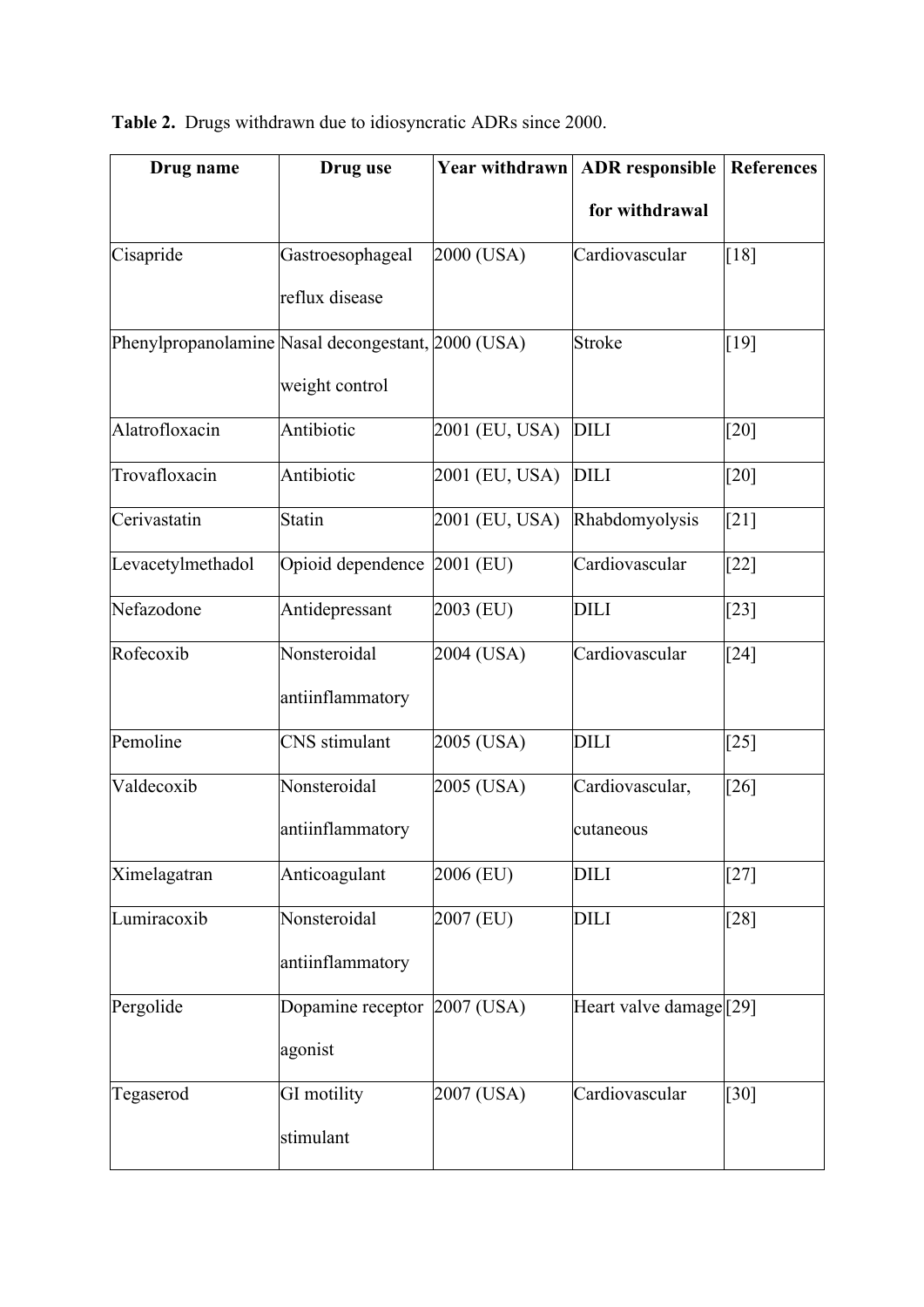|  |  | <b>Table 2.</b> Drugs withdrawn due to idiosyncratic ADRs since 2000. |  |
|--|--|-----------------------------------------------------------------------|--|
|  |  |                                                                       |  |

| Drug name                                          | Drug use                    | <b>Year withdrawn</b> | <b>ADR</b> responsible | <b>References</b> |  |
|----------------------------------------------------|-----------------------------|-----------------------|------------------------|-------------------|--|
|                                                    |                             |                       | for withdrawal         |                   |  |
| Cisapride                                          | Gastroesophageal            | 2000 (USA)            | Cardiovascular         | $[18]$            |  |
|                                                    | reflux disease              |                       |                        |                   |  |
| Phenylpropanolamine Nasal decongestant, 2000 (USA) |                             |                       | <b>Stroke</b>          | $[19]$            |  |
|                                                    | weight control              |                       |                        |                   |  |
| Alatrofloxacin                                     | Antibiotic                  | 2001 (EU, USA)        | <b>DILI</b>            | [20]              |  |
| Trovafloxacin                                      | Antibiotic                  | 2001 (EU, USA)        | <b>DILI</b>            | $[20]$            |  |
| Cerivastatin                                       | <b>Statin</b>               | 2001 (EU, USA)        | Rhabdomyolysis         | $[21]$            |  |
| Levacetylmethadol                                  | Opioid dependence 2001 (EU) |                       | Cardiovascular         | $[22]$            |  |
| Nefazodone                                         | Antidepressant              | 2003 (EU)             | <b>DILI</b>            | $[23]$            |  |
| Rofecoxib                                          | Nonsteroidal                | 2004 (USA)            | Cardiovascular         | $[24]$            |  |
|                                                    | antiinflammatory            |                       |                        |                   |  |
| Pemoline                                           | CNS stimulant               | 2005 (USA)            | <b>DILI</b>            | $[25]$            |  |
| Valdecoxib                                         | Nonsteroidal                | 2005 (USA)            | Cardiovascular,        | $[26]$            |  |
|                                                    | antiinflammatory            |                       | cutaneous              |                   |  |
| Ximelagatran                                       | Anticoagulant               | 2006 (EU)             | <b>DILI</b>            | $[27]$            |  |
| Lumiracoxib                                        | Nonsteroidal                | 2007 (EU)             | <b>DILI</b>            | $[28]$            |  |
|                                                    | antiinflammatory            |                       |                        |                   |  |
| Pergolide                                          | Dopamine receptor           | 2007 (USA)            | Heart valve damage[29] |                   |  |
|                                                    | agonist                     |                       |                        |                   |  |
| Tegaserod                                          | GI motility                 | 2007 (USA)            | Cardiovascular         | $[30]$            |  |
|                                                    | stimulant                   |                       |                        |                   |  |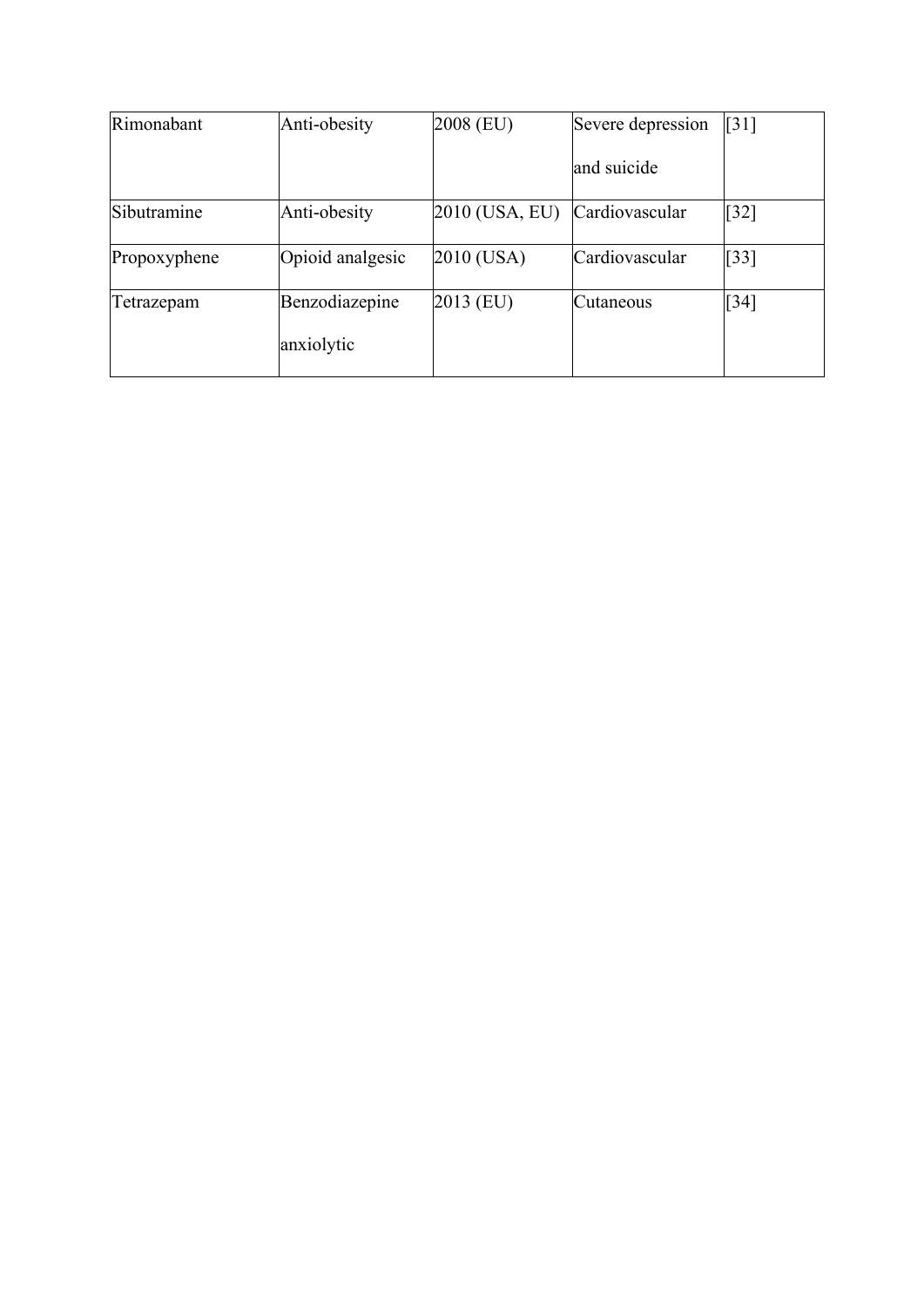| Rimonabant   | Anti-obesity                 | 2008 (EU)      | Severe depression | $\lceil 31 \rceil$ |
|--------------|------------------------------|----------------|-------------------|--------------------|
|              |                              |                | and suicide       |                    |
| Sibutramine  | Anti-obesity                 | 2010 (USA, EU) | Cardiovascular    | $\lceil 32 \rceil$ |
| Propoxyphene | Opioid analgesic             | 2010 (USA)     | Cardiovascular    | $\left[33\right]$  |
| Tetrazepam   | Benzodiazepine<br>anxiolytic | $2013$ (EU)    | Cutaneous         | $[34]$             |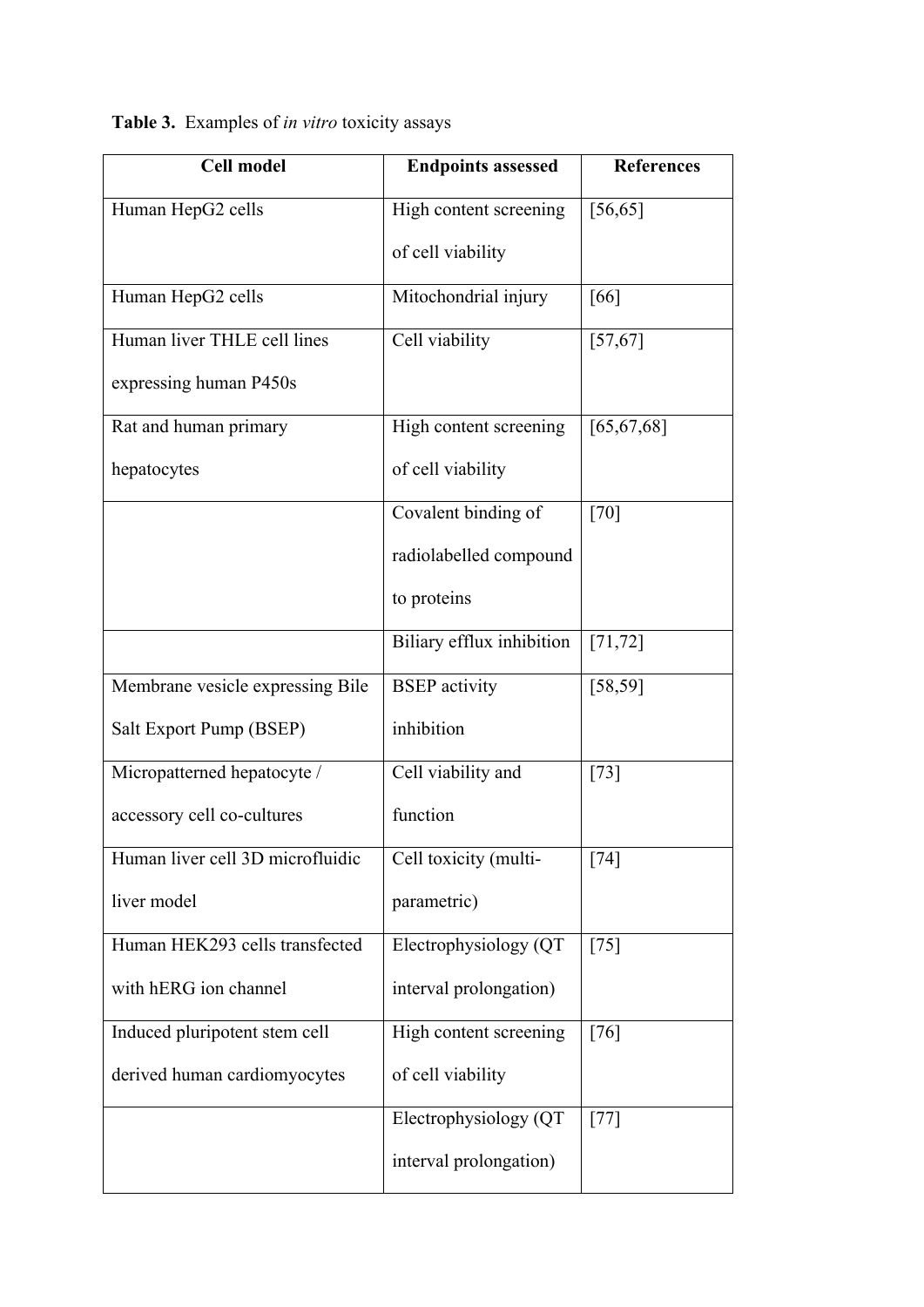**Table 3.** Examples of *in vitro* toxicity assays

| <b>Cell model</b>                | <b>Endpoints assessed</b> | <b>References</b> |
|----------------------------------|---------------------------|-------------------|
| Human HepG2 cells                | High content screening    | [56, 65]          |
|                                  | of cell viability         |                   |
| Human HepG2 cells                | Mitochondrial injury      | [66]              |
| Human liver THLE cell lines      | Cell viability            | [57, 67]          |
| expressing human P450s           |                           |                   |
| Rat and human primary            | High content screening    | [65, 67, 68]      |
| hepatocytes                      | of cell viability         |                   |
|                                  | Covalent binding of       | [70]              |
|                                  | radiolabelled compound    |                   |
|                                  | to proteins               |                   |
|                                  | Biliary efflux inhibition | [71, 72]          |
| Membrane vesicle expressing Bile | <b>BSEP</b> activity      | [58, 59]          |
| Salt Export Pump (BSEP)          | inhibition                |                   |
| Micropatterned hepatocyte /      | Cell viability and        | $[73]$            |
| accessory cell co-cultures       | function                  |                   |
| Human liver cell 3D microfluidic | Cell toxicity (multi-     | [74]              |
| liver model                      | parametric)               |                   |
| Human HEK293 cells transfected   | Electrophysiology (QT     | $[75]$            |
| with hERG ion channel            | interval prolongation)    |                   |
| Induced pluripotent stem cell    | High content screening    | [76]              |
| derived human cardiomyocytes     | of cell viability         |                   |
|                                  | Electrophysiology (QT     | $[77]$            |
|                                  | interval prolongation)    |                   |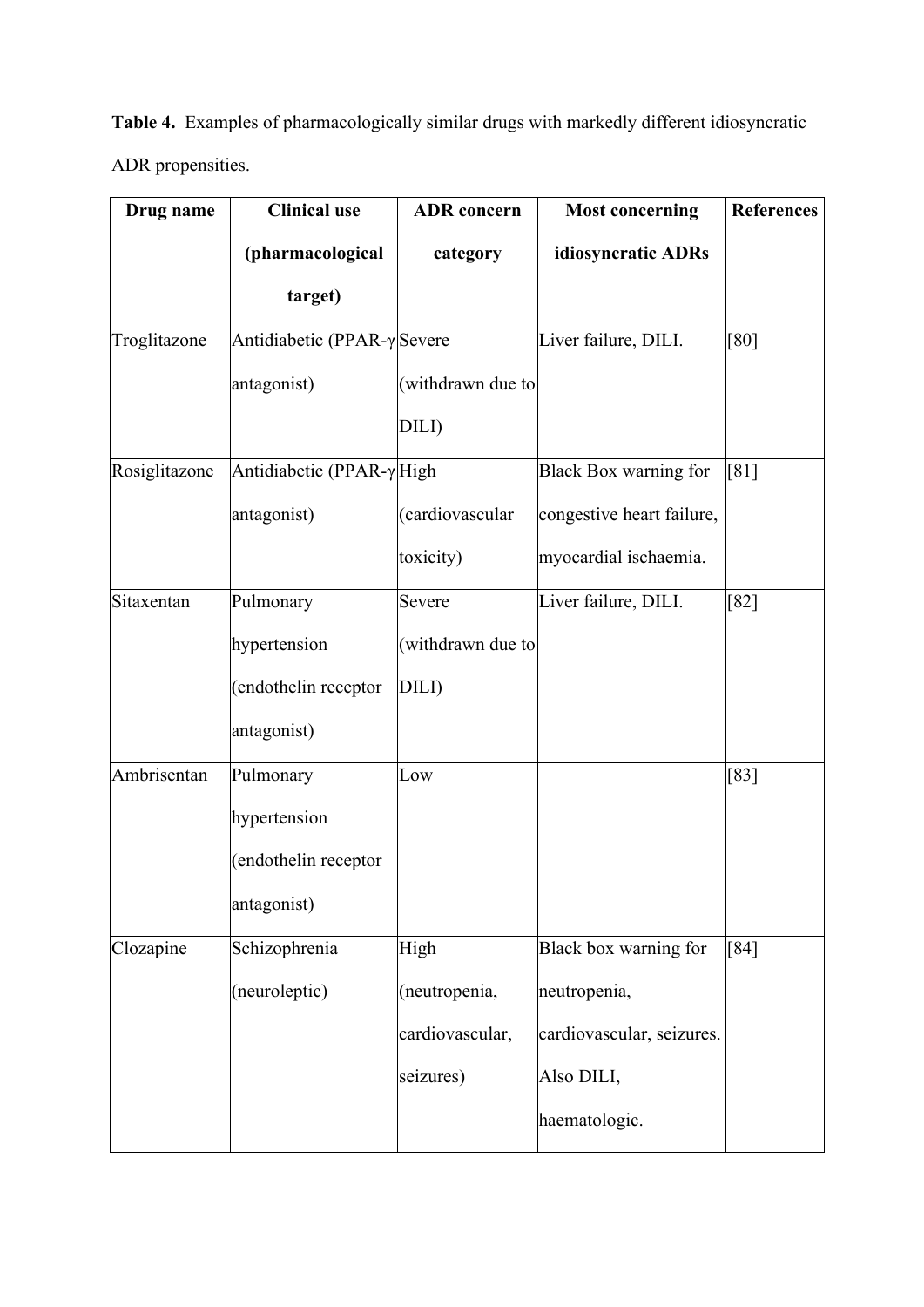**Table 4.** Examples of pharmacologically similar drugs with markedly different idiosyncratic ADR propensities.

| Drug name     | <b>Clinical use</b>                 | <b>ADR</b> concern | <b>Most concerning</b>       | <b>References</b> |
|---------------|-------------------------------------|--------------------|------------------------------|-------------------|
|               | (pharmacological                    | category           | idiosyncratic ADRs           |                   |
|               | target)                             |                    |                              |                   |
| Troglitazone  | Antidiabetic (PPAR- $\gamma$ Severe |                    | Liver failure, DILI.         | [80]              |
|               | antagonist)                         | (withdrawn due to  |                              |                   |
|               |                                     | DILI)              |                              |                   |
| Rosiglitazone | Antidiabetic (PPAR-γHigh            |                    | <b>Black Box warning for</b> | [81]              |
|               | antagonist)                         | (cardiovascular    | congestive heart failure,    |                   |
|               |                                     | toxicity)          | myocardial ischaemia.        |                   |
| Sitaxentan    | Pulmonary                           | Severe             | Liver failure, DILI.         | $[82]$            |
|               | hypertension                        | (withdrawn due to  |                              |                   |
|               | endothelin receptor                 | DILI)              |                              |                   |
|               | antagonist)                         |                    |                              |                   |
| Ambrisentan   | Pulmonary                           | Low                |                              | $[83]$            |
|               | hypertension                        |                    |                              |                   |
|               | (endothelin receptor                |                    |                              |                   |
|               | antagonist)                         |                    |                              |                   |
| Clozapine     | Schizophrenia                       | High               | Black box warning for        | [84]              |
|               | (neuroleptic)                       | (neutropenia,      | neutropenia,                 |                   |
|               |                                     | cardiovascular,    | cardiovascular, seizures.    |                   |
|               |                                     | seizures)          | Also DILI,                   |                   |
|               |                                     |                    | haematologic.                |                   |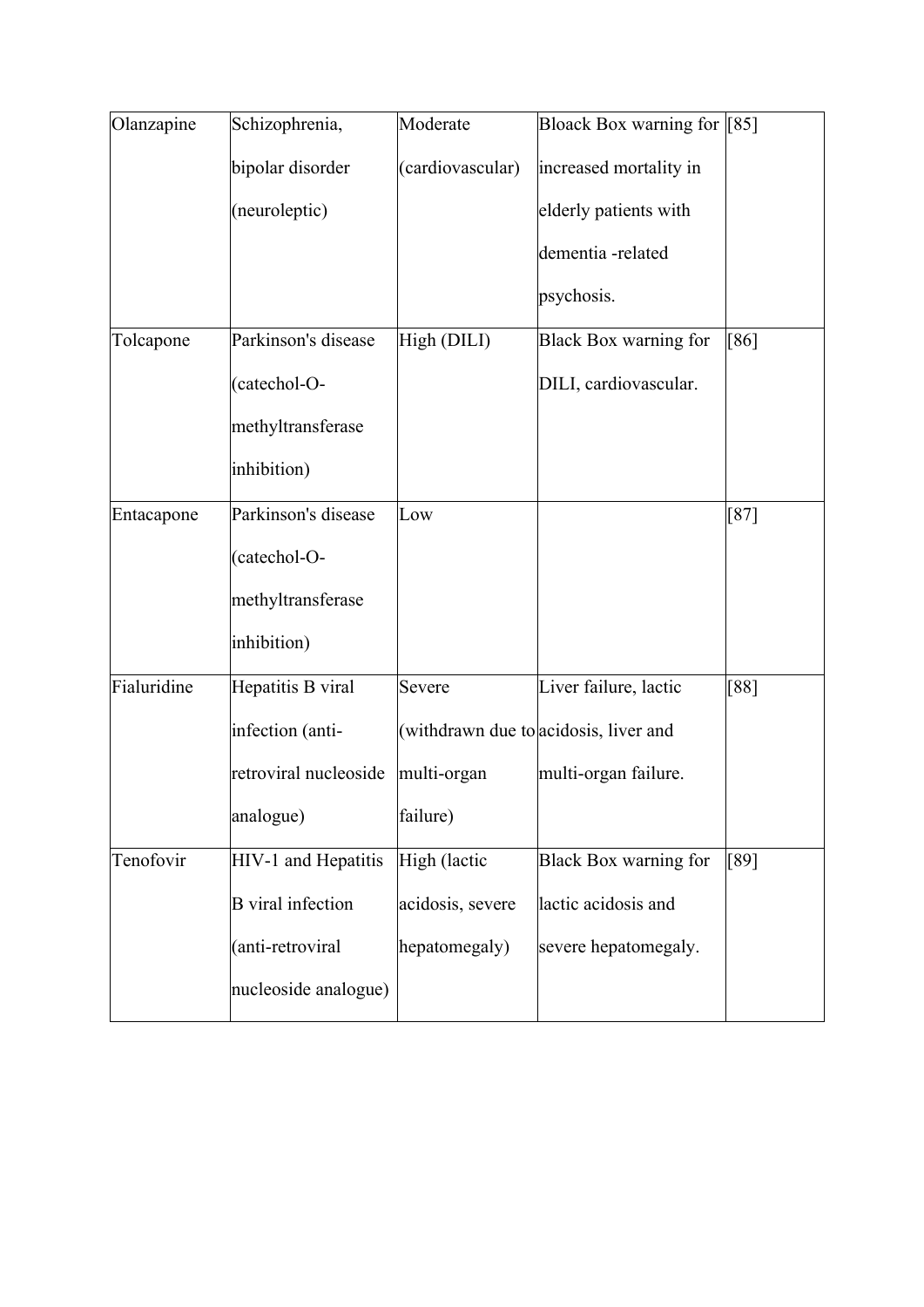| Olanzapine  | Schizophrenia,           | Moderate         | Bloack Box warning for [85]           |        |
|-------------|--------------------------|------------------|---------------------------------------|--------|
|             | bipolar disorder         | (cardiovascular) | increased mortality in                |        |
|             | (neuroleptic)            |                  | elderly patients with                 |        |
|             |                          |                  | dementia-related                      |        |
|             |                          |                  | psychosis.                            |        |
| Tolcapone   | Parkinson's disease      | High (DILI)      | Black Box warning for                 | [86]   |
|             | (catechol-O-             |                  | DILI, cardiovascular.                 |        |
|             | methyltransferase        |                  |                                       |        |
|             | inhibition)              |                  |                                       |        |
| Entacapone  | Parkinson's disease      | Low              |                                       | $[87]$ |
|             | (catechol-O-             |                  |                                       |        |
|             | methyltransferase        |                  |                                       |        |
|             | inhibition)              |                  |                                       |        |
| Fialuridine | Hepatitis B viral        | Severe           | Liver failure, lactic                 | [88]   |
|             | infection (anti-         |                  | (withdrawn due to acidosis, liver and |        |
|             | retroviral nucleoside    | multi-organ      | multi-organ failure.                  |        |
|             | analogue)                | failure)         |                                       |        |
| Tenofovir   | HIV-1 and Hepatitis      | High (lactic     | <b>Black Box warning for</b>          | [89]   |
|             | <b>B</b> viral infection | acidosis, severe | lactic acidosis and                   |        |
|             | (anti-retroviral         | hepatomegaly)    | severe hepatomegaly.                  |        |
|             | nucleoside analogue)     |                  |                                       |        |